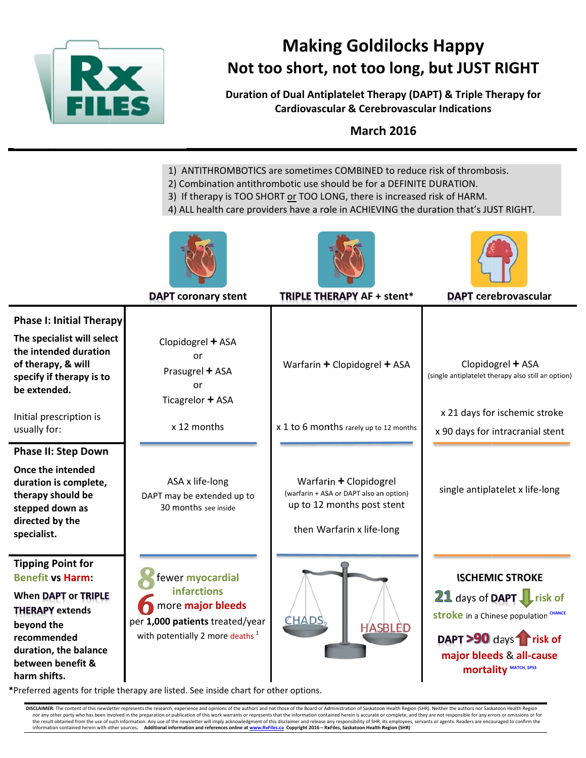

# **Making Goldilocks Happy** Not too short, not too long, but JUST RIGHT

Duration of Dual Antiplatelet Therapy (DAPT) & Triple Therapy for **Cardiovascular & Cerebrovascular Indications** 

**March 2016** 

- 1) ANTITHROMBOTICS are sometimes COMBINED to reduce risk of thrombosis.
- 2) Combination antithrombotic use should be for a DEFINITE DURATION.
- 3) If therapy is TOO SHORT or TOO LONG, there is increased risk of HARM.
- 4) ALL health care providers have a role in ACHIEVING the duration that's JUST RIGHT.







|                                                                                                                                                                                                        | <b>DAPT coronary stent</b>                                                                                                                    | TRIPLE THERAPY AF + stent*                                                                                                   | <b>DAPT</b> cerebrovascular                                                                                                                                                             |
|--------------------------------------------------------------------------------------------------------------------------------------------------------------------------------------------------------|-----------------------------------------------------------------------------------------------------------------------------------------------|------------------------------------------------------------------------------------------------------------------------------|-----------------------------------------------------------------------------------------------------------------------------------------------------------------------------------------|
| <b>Phase I: Initial Therapy</b><br>The specialist will select<br>the intended duration<br>of therapy, & will<br>specify if therapy is to<br>be extended.<br>Initial prescription is<br>usually for:    | Clopidogrel + ASA<br>or<br>Prasugrel + ASA<br>or<br>Ticagrelor + ASA<br>x 12 months                                                           | Warfarin + Clopidogrel + ASA<br>x 1 to 6 months rarely up to 12 months                                                       | Clopidogrel + ASA<br>(single antiplatelet therapy also still an option)<br>x 21 days for ischemic stroke<br>x 90 days for intracranial stent                                            |
| <b>Phase II: Step Down</b><br>Once the intended<br>duration is complete,<br>therapy should be<br>stepped down as<br>directed by the<br>specialist.                                                     | ASA x life-long<br>DAPT may be extended up to<br>30 months see inside                                                                         | Warfarin + Clopidogrel<br>(warfarin + ASA or DAPT also an option)<br>up to 12 months post stent<br>then Warfarin x life-long | single antiplatelet x life-long                                                                                                                                                         |
| <b>Tipping Point for</b><br><b>Benefit vs Harm:</b><br><b>When DAPT or TRIPLE</b><br><b>THERAPY extends</b><br>beyond the<br>recommended<br>duration, the balance<br>between benefit &<br>harm shifts. | fewer myocardial<br><b>infarctions</b><br>more major bleeds<br>per 1,000 patients treated/year<br>with potentially 2 more deaths <sup>1</sup> | CHADS <sub>2</sub><br><b>HASBLED</b>                                                                                         | <b>ISCHEMIC STROKE</b><br>21 days of DAPT Fisk of<br><b>stroke</b> in a Chinese population CHANCE<br>DAPT >90 days Trisk of<br>major bleeds & all-cause<br><b>mortality MATCH, SPS3</b> |

\*Preferred agents for triple therapy are listed. See inside chart for other options.

DISCLAIMER: The content of this newsletter represents the research, experience and opinions of the authors and not those of the Board or Administration of Saskatoon Health Region (SHR). Neither the authors nor Saskatoon He nor any other party who has been involved in the preparation or publication of this work warrants or represents that the information contained herein is accurate or complete, and they are not responsible for any errors or the result obtained from the use of such information. Any use of the newsletter will imply acknowledgment of this disclaimer and release any responsibility of SHR, its employees, servants or agents. Readers are encouraged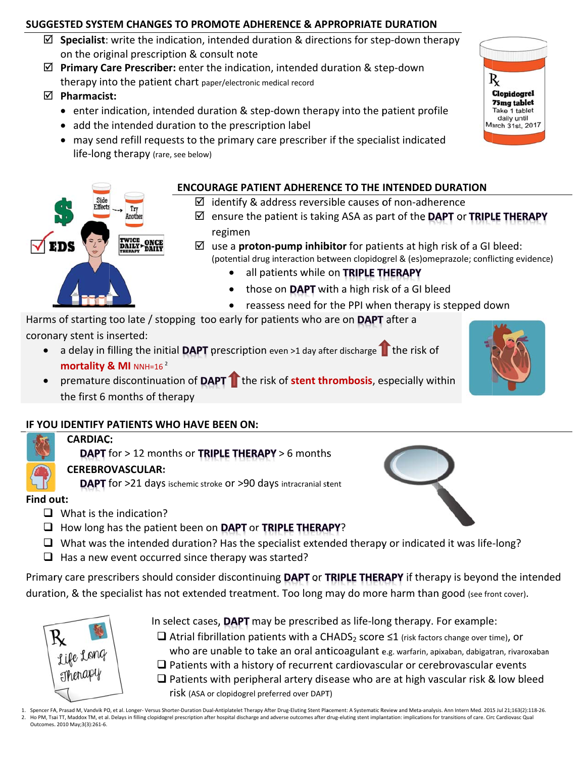# SUGGESTED SYSTEM CHANGES TO PROMOTE ADHERENCE & APPROPRIATE DURATION

- $\boxtimes$  Specialist: write the indication, intended duration & directions for step-down therapy on the original prescription & consult note
- ☑ Primary Care Prescriber: enter the indication, intended duration & step-down therapy into the patient chart paper/electronic medical record

 $\boxtimes$  Pharmacist:

- enter indication, intended duration & step-down therapy into the patient profile
- add the intended duration to the prescription label
- may send refill requests to the primary care prescriber if the specialist indicated life-long therapy (rare, see below)



- $\boxtimes$  identify & address reversible causes of non-adherence
- $\boxtimes$  ensure the patient is taking ASA as part of the **DAPT** or **TRIPLE THERAPY** regimen
- $\boxtimes$  use a **proton-pump inhibitor** for patients at high risk of a GI bleed: (potential drug interaction between clopidogrel & (es)omeprazole; conflicting evidence)
	- all patients while on TRIPLE THERAPY
	- those on DAPT with a high risk of a GI bleed  $\bullet$
	- reassess need for the PPI when therapy is stepped down

Harms of starting too late / stopping too early for patients who are on DAPT after a coronary stent is inserted:

- a delay in filling the initial **DAPT** prescription even >1 day after discharge  $\Gamma$  the risk of  $\bullet$ mortality & MI NNH=16<sup>2</sup>
- premature discontinuation of DAPT the risk of stent thrombosis, especially within the first 6 months of therapy

# IF YOU IDENTIFY PATIENTS WHO HAVE BEEN ON:

Try

Anothe

TWICE ONCE<br>DAILY DAILY

# **CARDIAC: DAPT** for > 12 months or TRIPLE THERAPY > 6 months **CEREBROVASCULAR:**

**DAPT** for >21 days ischemic stroke or >90 days intracranial stent

# Find out:

- $\Box$  What is the indication?
- $\Box$  How long has the patient been on DAPT or TRIPLE THERAPY?
- $\Box$  What was the intended duration? Has the specialist extended therapy or indicated it was life-long?
- $\Box$  Has a new event occurred since therapy was started?

Primary care prescribers should consider discontinuing DAPT or TRIPLE THERAPY if therapy is beyond the intended duration, & the specialist has not extended treatment. Too long may do more harm than good (see front cover).



- In select cases, DAPT may be prescribed as life-long therapy. For example:
- $\Box$  Atrial fibrillation patients with a CHADS<sub>2</sub> score  $\leq$ 1 (risk factors change over time), or who are unable to take an oral anticoagulant e.g. warfarin, apixaban, dabigatran, rivaroxaban
- $\Box$  Patients with a history of recurrent cardiovascular or cerebrovascular events
- $\Box$  Patients with peripheral artery disease who are at high vascular risk & low bleed
	- risk (ASA or clopidogrel preferred over DAPT)
- 1. Spencer FA, Prasad M, Vandvik PO, et al. Longer- Versus Shorter-Duration Dual-Antiplatelet Therapy After Drug-Eluting Stent Placement: A Systematic Review and Meta-analysis. Ann Intern Med. 2015 Jul 21;163(2):118-26. 2. Ho PM, Tsai TT, Maddox TM, et al. Delays in filling clopidogrel prescription after hospital discharge and adverse outcomes after drug-eluting stent implantation: implications for transitions of care. Circ Cardiovasc Qua Outcomes. 2010 May;3(3):261-6.





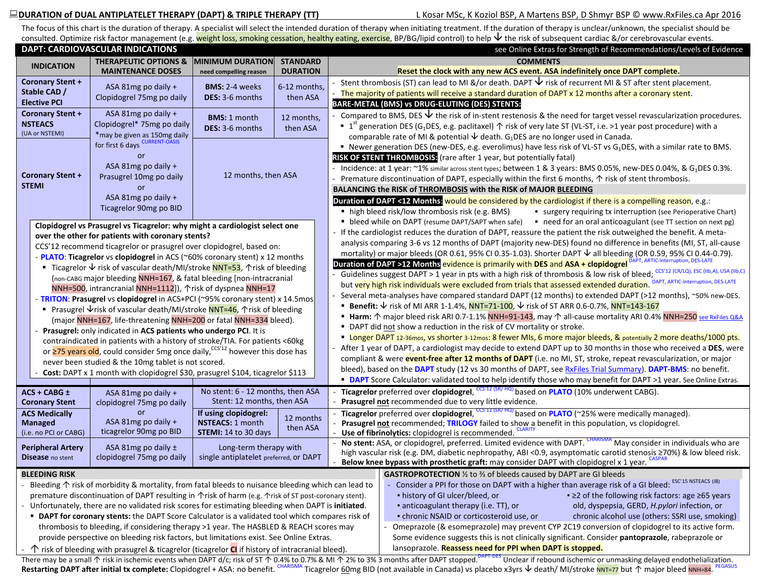### **DURATION of DUAL ANTIPLATELET THERAPY (DAPT) & TRIPLE THERAPY (TT)** L Kosar MSc, K Koziol BSP, A Martens BSP, D Shmyr BSP © www.RxFiles.ca Apr 2016

The focus of this chart is the duration of therapy. A specialist will select the intended duration of therapy when initiating treatment. If the duration of therapy is unclear/unknown, the specialist should be consulted. Optimize risk factor management (e.g. <mark>weight loss, smoking cessation, healthy eating, exercise</mark>, BP/BG/lipid control) to help ↓ the risk of subsequent cardiac &/or cerebrovascular events.

|                                                                                                                                                                                                       | <b>DAPT: CARDIOVASCULAR INDICATIONS</b>                                                                                                                                                                                                   |                                        |                       | see Online Extras for Strength of Recommendations/Levels of Evidence |                                                                                                                                                           |                                                                                                                                                                                                                                         |  |  |
|-------------------------------------------------------------------------------------------------------------------------------------------------------------------------------------------------------|-------------------------------------------------------------------------------------------------------------------------------------------------------------------------------------------------------------------------------------------|----------------------------------------|-----------------------|----------------------------------------------------------------------|-----------------------------------------------------------------------------------------------------------------------------------------------------------|-----------------------------------------------------------------------------------------------------------------------------------------------------------------------------------------------------------------------------------------|--|--|
| <b>INDICATION</b>                                                                                                                                                                                     | <b>THERAPEUTIC OPTIONS &amp;</b>                                                                                                                                                                                                          | <b>MINIMUM DURATION</b>                | <b>STANDARD</b>       |                                                                      | <b>COMMENTS</b>                                                                                                                                           |                                                                                                                                                                                                                                         |  |  |
|                                                                                                                                                                                                       | <b>MAINTENANCE DOSES</b>                                                                                                                                                                                                                  | need compelling reason                 | <b>DURATION</b>       |                                                                      | Reset the clock with any new ACS event. ASA indefinitely once DAPT complete.                                                                              |                                                                                                                                                                                                                                         |  |  |
| <b>Coronary Stent +</b>                                                                                                                                                                               | ASA 81mg po daily +                                                                                                                                                                                                                       | <b>BMS: 2-4 weeks</b>                  | 6-12 months,          |                                                                      | Stent thrombosis (ST) can lead to MI &/or death. DAPT $\bigvee$ risk of recurrent MI & ST after stent placement.                                          |                                                                                                                                                                                                                                         |  |  |
| Stable CAD /                                                                                                                                                                                          | Clopidogrel 75mg po daily                                                                                                                                                                                                                 | DES: 3-6 months                        | then ASA              |                                                                      | The majority of patients will receive a standard duration of DAPT x 12 months after a coronary stent.                                                     |                                                                                                                                                                                                                                         |  |  |
| <b>Elective PCI</b>                                                                                                                                                                                   |                                                                                                                                                                                                                                           |                                        |                       |                                                                      | BARE-METAL (BMS) vs DRUG-ELUTING (DES) STENTS:                                                                                                            |                                                                                                                                                                                                                                         |  |  |
| <b>Coronary Stent +</b>                                                                                                                                                                               | ASA 81mg po daily +                                                                                                                                                                                                                       | <b>BMS: 1 month</b>                    | 12 months,            |                                                                      |                                                                                                                                                           | Compared to BMS, DES $\vee$ the risk of in-stent restenosis & the need for target vessel revascularization procedures.                                                                                                                  |  |  |
| <b>NSTEACS</b><br>(UA or NSTEMI)                                                                                                                                                                      | Clopidogrel* 75mg po daily                                                                                                                                                                                                                | DES: 3-6 months                        | then ASA              |                                                                      | <b>I</b> 1 <sup>st</sup> generation DES (G <sub>1</sub> DES, e.g. paclitaxel) $\uparrow$ risk of very late ST (VL-ST, i.e. >1 year post procedure) with a |                                                                                                                                                                                                                                         |  |  |
|                                                                                                                                                                                                       | *may be given as 150mg daily<br>for first 6 days CURRENT-OASIS                                                                                                                                                                            |                                        |                       |                                                                      | comparable rate of MI & potential $\overline{\mathsf{V}}$ death. G <sub>1</sub> DES are no longer used in Canada.                                         |                                                                                                                                                                                                                                         |  |  |
|                                                                                                                                                                                                       |                                                                                                                                                                                                                                           |                                        |                       |                                                                      |                                                                                                                                                           | Rewer generation DES (new-DES, e.g. everolimus) have less risk of VL-ST vs G <sub>1</sub> DES, with a similar rate to BMS.                                                                                                              |  |  |
|                                                                                                                                                                                                       | ASA 81mg po daily +                                                                                                                                                                                                                       |                                        |                       |                                                                      | RISK OF STENT THROMBOSIS: (rare after 1 year, but potentially fatal)                                                                                      | - Incidence: at 1 year: ~1% similar across stent types; between 1 & 3 years: BMS 0.05%, new-DES 0.04%, & G <sub>1</sub> DES 0.3%.                                                                                                       |  |  |
| <b>Coronary Stent +</b>                                                                                                                                                                               | Prasugrel 10mg po daily                                                                                                                                                                                                                   | 12 months, then ASA                    |                       |                                                                      | Premature discontinuation of DAPT, especially within the first 6 months, $\uparrow$ risk of stent thrombosis.                                             |                                                                                                                                                                                                                                         |  |  |
| <b>STEMI</b>                                                                                                                                                                                          | or                                                                                                                                                                                                                                        |                                        |                       |                                                                      | BALANCING the RISK of THROMBOSIS with the RISK of MAJOR BLEEDING                                                                                          |                                                                                                                                                                                                                                         |  |  |
|                                                                                                                                                                                                       | ASA 81mg po daily +                                                                                                                                                                                                                       |                                        |                       |                                                                      | Duration of DAPT <12 Months: would be considered by the cardiologist if there is a compelling reason, e.g.:                                               |                                                                                                                                                                                                                                         |  |  |
|                                                                                                                                                                                                       | Ticagrelor 90mg po BID                                                                                                                                                                                                                    |                                        |                       |                                                                      | ■ high bleed risk/low thrombosis risk (e.g. BMS)                                                                                                          | • surgery requiring tx interruption (see Perioperative Chart)                                                                                                                                                                           |  |  |
|                                                                                                                                                                                                       |                                                                                                                                                                                                                                           |                                        |                       |                                                                      |                                                                                                                                                           | " bleed while on DAPT (resume DAPT/SAPT when safe) " need for an oral anticoagulant (see TT section on next pg)                                                                                                                         |  |  |
|                                                                                                                                                                                                       | Clopidogrel vs Prasugrel vs Ticagrelor: why might a cardiologist select one                                                                                                                                                               |                                        |                       |                                                                      |                                                                                                                                                           | If the cardiologist reduces the duration of DAPT, reassure the patient the risk outweighed the benefit. A meta-                                                                                                                         |  |  |
|                                                                                                                                                                                                       | over the other for patients with coronary stents?<br>CCS'12 recommend ticagrelor or prasugrel over clopidogrel, based on:                                                                                                                 |                                        |                       |                                                                      |                                                                                                                                                           | analysis comparing 3-6 vs 12 months of DAPT (majority new-DES) found no difference in benefits (MI, ST, all-cause                                                                                                                       |  |  |
|                                                                                                                                                                                                       | - PLATO: Ticagrelor vs clopidogrel in ACS (~60% coronary stent) x 12 months                                                                                                                                                               |                                        |                       |                                                                      |                                                                                                                                                           | mortality) or major bleeds (OR 0.61, 95% CI 0.35-1.03). Shorter DAPT ↓ all bleeding (OR 0.59, 95% CI 0.44-0.79).                                                                                                                        |  |  |
|                                                                                                                                                                                                       | ■ Ticagrelor $\sqrt{ }$ risk of vascular death/MI/stroke NNT=53, $\uparrow$ risk of bleeding                                                                                                                                              |                                        |                       |                                                                      | <b>Duration of DAPT &gt;12 Months evidence is primarily with DES and ASA + clopidogrel</b> DAPT, ARTIC-Interruption, DES-LATE                             |                                                                                                                                                                                                                                         |  |  |
|                                                                                                                                                                                                       | (non-CABG major bleeding NNH=167, & fatal bleeding [non-intracranial                                                                                                                                                                      |                                        |                       |                                                                      | Guidelines suggest DAPT > 1 year in pts with a high risk of thrombosis & low risk of bleed; CCS'12 (CR/LQ), ESC (IIb,A), USA (IIb,C)                      |                                                                                                                                                                                                                                         |  |  |
|                                                                                                                                                                                                       | NNH=500, intrancranial NNH=1112]), 个risk of dyspnea NNH=17                                                                                                                                                                                |                                        |                       |                                                                      |                                                                                                                                                           | but very high risk individuals were excluded from trials that assessed extended duration. DAPT, ARTIC-Interruption, DES-LATE                                                                                                            |  |  |
|                                                                                                                                                                                                       | - TRITON: Prasugrel vs clopidogrel in ACS+PCI (~95% coronary stent) x 14.5mos                                                                                                                                                             |                                        |                       |                                                                      |                                                                                                                                                           | Several meta-analyses have compared standard DAPT (12 months) to extended DAPT (>12 months), ~50% new-DES.                                                                                                                              |  |  |
|                                                                                                                                                                                                       | ■ Prasugrel $\sqrt{ }$ risk of vascular death/MI/stroke NNT=46, $\uparrow$ risk of bleeding                                                                                                                                               |                                        |                       |                                                                      | ■ Benefit: $\sqrt{\ }$ risk of MI ARR 1-1.4%, NNT=71-100, $\sqrt{\ }$ risk of ST ARR 0.6-0.7%, NNT=143-167                                                |                                                                                                                                                                                                                                         |  |  |
|                                                                                                                                                                                                       | (major NNH=167, life-threatening NNH=200 or fatal NNH=334 bleed).                                                                                                                                                                         |                                        |                       |                                                                      |                                                                                                                                                           | ■ Harm: 个 major bleed risk ARI 0.7-1.1% NNH=91-143, may 个 all-cause mortality ARI 0.4% NNH=250 see RxFiles 0.8A                                                                                                                         |  |  |
|                                                                                                                                                                                                       | Prasugrel: only indicated in ACS patients who undergo PCI. It is                                                                                                                                                                          |                                        |                       |                                                                      | • DAPT did not show a reduction in the risk of CV mortality or stroke.                                                                                    |                                                                                                                                                                                                                                         |  |  |
|                                                                                                                                                                                                       | contraindicated in patients with a history of stroke/TIA. For patients <60kg                                                                                                                                                              |                                        |                       |                                                                      |                                                                                                                                                           | " Longer DAPT 12-36mos, vs shorter 3-12mos: 8 fewer MIs, 6 more major bleeds, & potentially 2 more deaths/1000 pts.<br>After 1 year of DAPT, a cardiologist may decide to extend DAPT up to 30 months in those who received a DES, were |  |  |
|                                                                                                                                                                                                       | or 275 years old, could consider 5mg once daily, <sup>CCS'12</sup> however this dose has                                                                                                                                                  |                                        |                       |                                                                      |                                                                                                                                                           | compliant & were <b>event-free after 12 months of DAPT</b> (i.e. no MI, ST, stroke, repeat revascularization, or major                                                                                                                  |  |  |
|                                                                                                                                                                                                       | never been studied & the 10mg tablet is not scored.                                                                                                                                                                                       |                                        |                       |                                                                      |                                                                                                                                                           | bleed), based on the DAPT study (12 vs 30 months of DAPT, see RxFiles Trial Summary). DAPT-BMS: no benefit.                                                                                                                             |  |  |
|                                                                                                                                                                                                       | Cost: DAPT x 1 month with clopidogrel \$30, prasugrel \$104, ticagrelor \$113                                                                                                                                                             |                                        |                       |                                                                      |                                                                                                                                                           | <b>• DAPT</b> Score Calculator: validated tool to help identify those who may benefit for DAPT >1 year. See Online Extras.                                                                                                              |  |  |
| $ACS + CABG +$                                                                                                                                                                                        | ASA 81mg po daily +                                                                                                                                                                                                                       | No stent: 6 - 12 months, then ASA      |                       |                                                                      | Ticagrelor preferred over clopidogrel, CCS'12 (SR/HQ) based on PLATO (10% underwent CABG).                                                                |                                                                                                                                                                                                                                         |  |  |
| <b>Coronary Stent</b>                                                                                                                                                                                 | clopidogrel 75mg po daily                                                                                                                                                                                                                 | Stent: 12 months, then ASA             |                       |                                                                      | Prasugrel not recommended due to very little evidence.                                                                                                    |                                                                                                                                                                                                                                         |  |  |
| <b>ACS Medically</b>                                                                                                                                                                                  | <sub>or</sub>                                                                                                                                                                                                                             | If using clopidogrel:                  |                       |                                                                      | <b>Ticagrelor</b> preferred over <b>clopidogrel</b> , $\frac{ccs_{12}(SR/HQ)}{d}$ based on <b>PLATO</b> (~25% were medically managed).                    |                                                                                                                                                                                                                                         |  |  |
| <b>Managed</b>                                                                                                                                                                                        | ASA 81mg po daily +                                                                                                                                                                                                                       | <b>NSTEACS: 1 month</b>                | 12 months<br>then ASA |                                                                      | Prasugrel not recommended; TRILOGY failed to show a benefit in this population, vs clopidogrel.                                                           |                                                                                                                                                                                                                                         |  |  |
| (i.e. no PCI or CABG)                                                                                                                                                                                 | ticagrelor 90mg po BID                                                                                                                                                                                                                    | STEMI: 14 to 30 days                   |                       |                                                                      | Use of fibrinolytics: clopidogrel is recommended. CLARITY                                                                                                 |                                                                                                                                                                                                                                         |  |  |
| <b>Peripheral Artery</b>                                                                                                                                                                              | ASA 81mg po daily ±                                                                                                                                                                                                                       | Long-term therapy with                 |                       |                                                                      |                                                                                                                                                           | No stent: ASA, or clopidogrel, preferred. Limited evidence with DAPT. CHARISMA May consider in individuals who are                                                                                                                      |  |  |
| <b>Disease</b> no stent                                                                                                                                                                               | clopidogrel 75mg po daily                                                                                                                                                                                                                 | single antiplatelet preferred, or DAPT |                       |                                                                      |                                                                                                                                                           | high vascular risk (e.g. DM, diabetic nephropathy, ABI <0.9, asymptomatic carotid stenosis ≥70%) & low bleed risk.                                                                                                                      |  |  |
|                                                                                                                                                                                                       |                                                                                                                                                                                                                                           |                                        |                       |                                                                      | Below knee bypass with prosthetic graft: may consider DAPT with clopidogrel x 1 year. CASPAF                                                              |                                                                                                                                                                                                                                         |  |  |
| BLEEDING KISK                                                                                                                                                                                         |                                                                                                                                                                                                                                           |                                        |                       |                                                                      | <b>GASTROPROTECTION</b> 1/2 to 2/3 of bleeds caused by DAPT are GI bleeds                                                                                 | Consider a PPI for those on DAPT with a higher than average risk of a GI bleed: ESC'15 NSTEACS (IB)                                                                                                                                     |  |  |
|                                                                                                                                                                                                       | Bleeding $\uparrow$ risk of morbidity & mortality, from fatal bleeds to nuisance bleeding which can lead to<br>premature discontinuation of DAPT resulting in $\triangle$ risk of harm (e.g. $\triangle$ risk of ST post-coronary stent). |                                        |                       |                                                                      | • history of GI ulcer/bleed, or                                                                                                                           | . ≥2 of the following risk factors: age ≥65 years                                                                                                                                                                                       |  |  |
|                                                                                                                                                                                                       |                                                                                                                                                                                                                                           |                                        |                       |                                                                      | • anticoagulant therapy (i.e. TT), or                                                                                                                     | old, dyspepsia, GERD, H.pylori infection, or                                                                                                                                                                                            |  |  |
| Unfortunately, there are no validated risk scores for estimating bleeding when DAPT is initiated.<br>" DAPT for coronary stents: the DAPT Score Calculator is a validated tool which compares risk of |                                                                                                                                                                                                                                           |                                        |                       |                                                                      | • chronic NSAID or corticosteroid use, or                                                                                                                 | chronic alcohol use (others: SSRI use, smoking)                                                                                                                                                                                         |  |  |
| thrombosis to bleeding, if considering therapy >1 year. The HASBLED & REACH scores may                                                                                                                |                                                                                                                                                                                                                                           |                                        |                       |                                                                      |                                                                                                                                                           | Omeprazole (& esomeprazole) may prevent CYP 2C19 conversion of clopidogrel to its active form.                                                                                                                                          |  |  |
| provide perspective on bleeding risk factors, but limitations exist. See Online Extras.                                                                                                               |                                                                                                                                                                                                                                           |                                        |                       |                                                                      |                                                                                                                                                           | Some evidence suggests this is not clinically significant. Consider pantoprazole, rabeprazole or                                                                                                                                        |  |  |
|                                                                                                                                                                                                       | $\uparrow$ risk of bleeding with prasugrel & ticagrelor (ticagrelor CI if history of intracranial bleed).                                                                                                                                 |                                        |                       |                                                                      | lansoprazole. Reassess need for PPI when DAPT is stopped.                                                                                                 |                                                                                                                                                                                                                                         |  |  |

There may be a small  $\Upsilon$  risk in ischemic events when DAPT d/c; risk of ST  $\Upsilon$  0.4% to 0.7% & MI  $\Upsilon$  2% to 3% 3 months after DAPT stopped. DAPT stopped if rebound ischemic or unmasking delayed endothelialization. Restarting DAPT after initial tx complete: Clopidogrel + ASA: no benefit. <sup>CHARISMA</sup> Ticagrelor 60mg BID (not available in Canada) vs placebo x3yrs ↓ death/ MI/stroke NNT=77 but 个 major bleed NNH=84. PEGASUS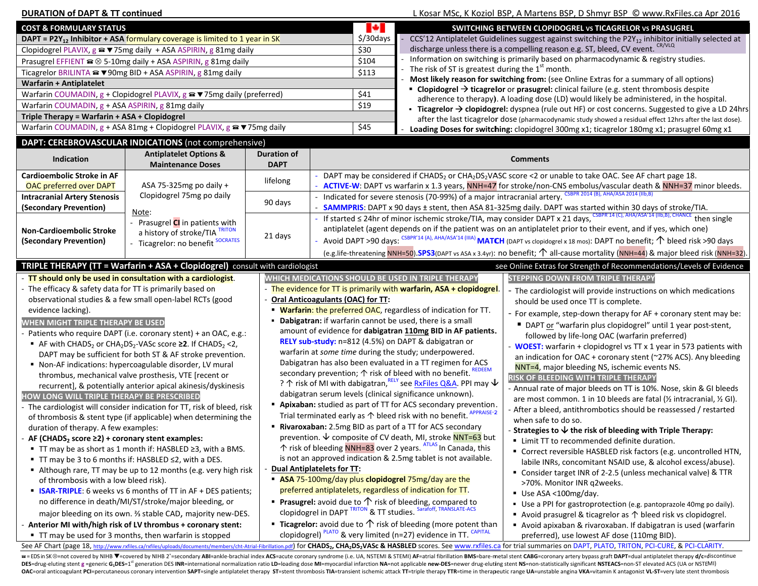| <b>DURATION of DAPT &amp; TT continued</b>                                      |                                                                                                                                                 |                                                                                                                                           |                                                                                                                                        |                                                                                                                   |                                                                                                               | L Kosar MSc, K Koziol BSP, A Martens BSP, D Shmyr BSP © www.RxFiles.ca Apr 2016                                                                                                               |  |  |
|---------------------------------------------------------------------------------|-------------------------------------------------------------------------------------------------------------------------------------------------|-------------------------------------------------------------------------------------------------------------------------------------------|----------------------------------------------------------------------------------------------------------------------------------------|-------------------------------------------------------------------------------------------------------------------|---------------------------------------------------------------------------------------------------------------|-----------------------------------------------------------------------------------------------------------------------------------------------------------------------------------------------|--|--|
| <b>COST &amp; FORMULARY STATUS</b>                                              |                                                                                                                                                 |                                                                                                                                           | М                                                                                                                                      |                                                                                                                   | SWITCHING BETWEEN CLOPIDOGREL VS TICAGRELOR VS PRASUGREL                                                      |                                                                                                                                                                                               |  |  |
| DAPT = $P2Y_{12}$ Inhibitor + ASA formulary coverage is limited to 1 year in SK |                                                                                                                                                 |                                                                                                                                           |                                                                                                                                        | \$/30days                                                                                                         |                                                                                                               | CCS'12 Antiplatelet Guidelines suggest against switching the P2Y <sub>12</sub> inhibitor initially selected at                                                                                |  |  |
| Clopidogrel PLAVIX, g <sup>2</sup> v 75mg daily + ASA ASPIRIN, g 81mg daily     |                                                                                                                                                 |                                                                                                                                           |                                                                                                                                        | \$30                                                                                                              |                                                                                                               | discharge unless there is a compelling reason e.g. ST, bleed, CV event. CR/VLQ                                                                                                                |  |  |
|                                                                                 | Prasugrel EFFIENT $\widehat{=} \otimes 5$ -10mg daily + ASA ASPIRIN, g 81mg daily                                                               |                                                                                                                                           |                                                                                                                                        | \$104                                                                                                             |                                                                                                               | Information on switching is primarily based on pharmacodynamic & registry studies.                                                                                                            |  |  |
|                                                                                 | Ticagrelor BRILINTA <sup>2</sup> v 90mg BID + ASA ASPIRIN, g 81mg daily                                                                         |                                                                                                                                           |                                                                                                                                        | \$113                                                                                                             | The risk of ST is greatest during the $1st$ month.                                                            |                                                                                                                                                                                               |  |  |
| <b>Warfarin + Antiplatelet</b>                                                  |                                                                                                                                                 |                                                                                                                                           |                                                                                                                                        |                                                                                                                   |                                                                                                               | Most likely reason for switching from: (see Online Extras for a summary of all options)                                                                                                       |  |  |
|                                                                                 | Warfarin COUMADIN, g + Clopidogrel PLAVIX, g <sup>a</sup> $\blacktriangledown$ 75mg daily (preferred)                                           |                                                                                                                                           |                                                                                                                                        | \$41                                                                                                              |                                                                                                               | <b>Clopidogrel <math>\rightarrow</math> ticagrelor</b> or <b>prasugrel:</b> clinical failure (e.g. stent thrombosis despite                                                                   |  |  |
| Warfarin COUMADIN, g + ASA ASPIRIN, g 81mg daily                                |                                                                                                                                                 |                                                                                                                                           |                                                                                                                                        | \$19                                                                                                              |                                                                                                               | adherence to therapy). A loading dose (LD) would likely be administered, in the hospital.<br>■ Ticagrelor → clopidogrel: dyspnea (rule out HF) or cost concerns. Suggested to give a LD 24hrs |  |  |
| Triple Therapy = Warfarin + ASA + Clopidogrel                                   |                                                                                                                                                 |                                                                                                                                           |                                                                                                                                        |                                                                                                                   |                                                                                                               | after the last ticagrelor dose (pharmacodynamic study showed a residual effect 12hrs after the last dose).                                                                                    |  |  |
|                                                                                 | Warfarin COUMADIN, g + ASA 81mg + Clopidogrel PLAVIX, g <sup>a</sup> ▼75mg daily                                                                |                                                                                                                                           |                                                                                                                                        | \$45                                                                                                              |                                                                                                               | Loading Doses for switching: clopidogrel 300mg x1; ticagrelor 180mg x1; prasugrel 60mg x1                                                                                                     |  |  |
|                                                                                 | DAPT: CEREBROVASCULAR INDICATIONS (not comprehensive)                                                                                           |                                                                                                                                           |                                                                                                                                        |                                                                                                                   |                                                                                                               |                                                                                                                                                                                               |  |  |
|                                                                                 | <b>Antiplatelet Options &amp;</b>                                                                                                               | Duration of                                                                                                                               |                                                                                                                                        |                                                                                                                   |                                                                                                               |                                                                                                                                                                                               |  |  |
| Indication                                                                      | <b>Maintenance Doses</b>                                                                                                                        | <b>DAPT</b>                                                                                                                               |                                                                                                                                        |                                                                                                                   |                                                                                                               | <b>Comments</b>                                                                                                                                                                               |  |  |
| Cardioembolic Stroke in AF                                                      |                                                                                                                                                 | lifelong                                                                                                                                  |                                                                                                                                        |                                                                                                                   |                                                                                                               | DAPT may be considered if CHADS <sub>2</sub> or CHA <sub>2</sub> DS <sub>2</sub> VASC score <2 or unable to take OAC. See AF chart page 18.                                                   |  |  |
| <b>OAC preferred over DAPT</b>                                                  | ASA 75-325mg po daily +                                                                                                                         |                                                                                                                                           |                                                                                                                                        |                                                                                                                   |                                                                                                               | ACTIVE-W: DAPT vs warfarin x 1.3 years, NNH=47 for stroke/non-CNS embolus/vascular death & NNH=37 minor bleeds.                                                                               |  |  |
| <b>Intracranial Artery Stenosis</b>                                             | Clopidogrel 75mg po daily                                                                                                                       | 90 days                                                                                                                                   |                                                                                                                                        |                                                                                                                   | - Indicated for severe stenosis (70-99%) of a major intracranial artery. <sup>CS</sup>                        | R 2014 (B), AHA/ASA 2014 (IIb,B)                                                                                                                                                              |  |  |
| (Secondary Prevention)                                                          | Note:                                                                                                                                           |                                                                                                                                           |                                                                                                                                        |                                                                                                                   |                                                                                                               | SAMMPRIS: DAPT x 90 days ± stent, then ASA 81-325mg daily. DAPT was started within 30 days of stroke/TIA.                                                                                     |  |  |
|                                                                                 | Prasugrel CI in patients with                                                                                                                   |                                                                                                                                           | If started $\leq$ 24hr of minor ischemic stroke/TIA, may consider DAPT x 21 days, CSBPR'14 (C), AHA/ASA'14 (IIb,B), CHANCE then single |                                                                                                                   |                                                                                                               |                                                                                                                                                                                               |  |  |
| <b>Non-Cardioembolic Stroke</b>                                                 | a history of stroke/TIA                                                                                                                         | 21 days                                                                                                                                   |                                                                                                                                        | antiplatelet (agent depends on if the patient was on an antiplatelet prior to their event, and if yes, which one) |                                                                                                               |                                                                                                                                                                                               |  |  |
| (Secondary Prevention)                                                          | - Ticagrelor: no benefit SOCRATES                                                                                                               |                                                                                                                                           |                                                                                                                                        |                                                                                                                   |                                                                                                               | Avoid DAPT >90 days: CSBPR'14 (A), AHA/ASA'14 (IIIA) MATCH (DAPT vs clopidogrel x 18 mos): DAPT no benefit; $\uparrow$ bleed risk >90 days                                                    |  |  |
|                                                                                 |                                                                                                                                                 |                                                                                                                                           |                                                                                                                                        |                                                                                                                   |                                                                                                               | (e.g.life-threatening NNH=50).SPS3(DAPT vs ASA x 3.4yr): no benefit; $\uparrow$ all-cause mortality (NNH=44) & major bleed risk (NNH=32).                                                     |  |  |
|                                                                                 | TRIPLE THERAPY (TT = Warfarin + ASA + Clopidogrel) consult with cardiologist                                                                    |                                                                                                                                           |                                                                                                                                        |                                                                                                                   |                                                                                                               | see Online Extras for Strength of Recommendations/Levels of Evidence                                                                                                                          |  |  |
|                                                                                 | - TT should only be used in consultation with a cardiologist.                                                                                   |                                                                                                                                           |                                                                                                                                        |                                                                                                                   | WHICH MEDICATIONS SHOULD BE USED IN TRIPLE THERAPY                                                            | <b>STEPPING DOWN FROM TRIPLE THERAPY</b>                                                                                                                                                      |  |  |
| - The efficacy & safety data for TT is primarily based on                       |                                                                                                                                                 |                                                                                                                                           |                                                                                                                                        |                                                                                                                   | - The evidence for TT is primarily with warfarin, ASA + clopidogrel.                                          | - The cardiologist will provide instructions on which medications                                                                                                                             |  |  |
|                                                                                 | observational studies & a few small open-label RCTs (good                                                                                       |                                                                                                                                           | Oral Anticoagulants (OAC) for TT:                                                                                                      |                                                                                                                   |                                                                                                               | should be used once TT is complete.                                                                                                                                                           |  |  |
| evidence lacking).                                                              |                                                                                                                                                 |                                                                                                                                           |                                                                                                                                        |                                                                                                                   | " Warfarin: the preferred OAC, regardless of indication for TT.                                               | - For example, step-down therapy for AF + coronary stent may be:                                                                                                                              |  |  |
| WHEN MIGHT TRIPLE THERAPY BE USED                                               |                                                                                                                                                 |                                                                                                                                           | • Dabigatran: if warfarin cannot be used, there is a small<br>■ DAPT or "warfarin plus clopidogrel" until 1 year post-stent,           |                                                                                                                   |                                                                                                               |                                                                                                                                                                                               |  |  |
|                                                                                 | - Patients who require DAPT (i.e. coronary stent) + an OAC, e.g.:                                                                               |                                                                                                                                           | amount of evidence for dabigatran 110mg BID in AF patients.<br>followed by life-long OAC (warfarin preferred)                          |                                                                                                                   |                                                                                                               |                                                                                                                                                                                               |  |  |
|                                                                                 | ■ AF with CHADS <sub>2</sub> or CHA <sub>2</sub> DS <sub>2</sub> -VASc score $\geq$ 2. If CHADS <sub>2</sub> < 2,                               |                                                                                                                                           |                                                                                                                                        |                                                                                                                   | RELY sub-study: n=812 (4.5%) on DAPT & dabigatran or<br>warfarin at some time during the study; underpowered. | - WOEST: warfarin + clopidogrel vs TT x 1 year in 573 patients with                                                                                                                           |  |  |
|                                                                                 | DAPT may be sufficient for both ST & AF stroke prevention.                                                                                      |                                                                                                                                           |                                                                                                                                        |                                                                                                                   |                                                                                                               | an indication for OAC + coronary stent (~27% ACS). Any bleeding                                                                                                                               |  |  |
| • Non-AF indications: hypercoagulable disorder, LV mural                        |                                                                                                                                                 |                                                                                                                                           |                                                                                                                                        | Dabigatran has also been evaluated in a TT regimen for ACS                                                        | NNT=4, major bleeding NS, ischemic events NS.                                                                 |                                                                                                                                                                                               |  |  |
| thrombus, mechanical valve prosthesis, VTE [recent or                           |                                                                                                                                                 |                                                                                                                                           |                                                                                                                                        | secondary prevention; $\uparrow$ risk of bleed with no benefit. REDEEM                                            | RISK OF BLEEDING WITH TRIPLE THERAPY                                                                          |                                                                                                                                                                                               |  |  |
|                                                                                 | recurrent], & potentially anterior apical akinesis/dyskinesis                                                                                   | ? ↑ risk of MI with dabigatran, RELY see RxFiles Q&A. PPI may $\mathsf{\Psi}$<br>dabigatran serum levels (clinical significance unknown). |                                                                                                                                        |                                                                                                                   |                                                                                                               | - Annual rate of major bleeds on TT is 10%. Nose, skin & GI bleeds                                                                                                                            |  |  |
| HOW LONG WILL TRIPLE THERAPY BE PRESCRIBED                                      |                                                                                                                                                 |                                                                                                                                           |                                                                                                                                        |                                                                                                                   |                                                                                                               | are most common. 1 in 10 bleeds are fatal (1/2 intracranial, 1/2 GI).                                                                                                                         |  |  |
|                                                                                 | - The cardiologist will consider indication for TT, risk of bleed, risk                                                                         |                                                                                                                                           |                                                                                                                                        |                                                                                                                   | " Apixaban: studied as part of TT for ACS secondary prevention.<br>RAISE-2                                    | - After a bleed, antithrombotics should be reassessed / restarted                                                                                                                             |  |  |
|                                                                                 | of thrombosis & stent type (if applicable) when determining the                                                                                 |                                                                                                                                           |                                                                                                                                        |                                                                                                                   | Trial terminated early as $\uparrow$ bleed risk with no benefit.                                              | when safe to do so.                                                                                                                                                                           |  |  |
| duration of therapy. A few examples:                                            |                                                                                                                                                 |                                                                                                                                           | " Rivaroxaban: 2.5mg BID as part of a TT for ACS secondary                                                                             |                                                                                                                   |                                                                                                               | - Strategies to $\bm{\Downarrow}$ the risk of bleeding with Triple Therapy:                                                                                                                   |  |  |
| AF (CHADS <sub>2</sub> score $\geq$ 2) + coronary stent examples:               |                                                                                                                                                 |                                                                                                                                           | prevention. $\vee$ composite of CV death, MI, stroke NNT=63 but                                                                        |                                                                                                                   |                                                                                                               | • Limit TT to recommended definite duration.                                                                                                                                                  |  |  |
| ■ TT may be as short as 1 month if: HASBLED ≥3, with a BMS.                     |                                                                                                                                                 |                                                                                                                                           | ↑ risk of bleeding NNH=83 over 2 years. ATLAS In Canada, this                                                                          |                                                                                                                   |                                                                                                               | " Correct reversible HASBLED risk factors (e.g. uncontrolled HTN,                                                                                                                             |  |  |
| ■ TT may be 3 to 6 months if: HASBLED ≤2, with a DES.                           |                                                                                                                                                 |                                                                                                                                           | is not an approved indication & 2.5mg tablet is not available.<br>labile INRs, concomitant NSAID use, & alcohol excess/abuse).         |                                                                                                                   |                                                                                                               |                                                                                                                                                                                               |  |  |
| Although rare, TT may be up to 12 months (e.g. very high risk                   |                                                                                                                                                 |                                                                                                                                           | <b>Dual Antiplatelets for TT:</b><br>■ Consider target INR of 2-2.5 (unless mechanical valve) & TTR                                    |                                                                                                                   |                                                                                                               |                                                                                                                                                                                               |  |  |
| of thrombosis with a low bleed risk).                                           |                                                                                                                                                 |                                                                                                                                           |                                                                                                                                        |                                                                                                                   | ASA 75-100mg/day plus clopidogrel 75mg/day are the                                                            | >70%. Monitor INR q2weeks.                                                                                                                                                                    |  |  |
| <b>ISAR-TRIPLE:</b> 6 weeks vs 6 months of TT in AF + DES patients;             |                                                                                                                                                 |                                                                                                                                           |                                                                                                                                        | preferred antiplatelets, regardless of indication for TT.                                                         | Use ASA <100mg/day.                                                                                           |                                                                                                                                                                                               |  |  |
| no difference in death/MI/ST/stroke/major bleeding, or                          |                                                                                                                                                 |                                                                                                                                           |                                                                                                                                        |                                                                                                                   | <b>Prasugrel:</b> avoid due to $\uparrow$ risk of bleeding, compared to                                       | • Use a PPI for gastroprotection (e.g. pantoprazole 40mg po daily).                                                                                                                           |  |  |
| major bleeding on its own. 3 stable CAD, majority new-DES.                      | clopidogrel in DAPT TRITON & TT studies. Sarafoff, TRANSLATE-ACS                                                                                |                                                                                                                                           |                                                                                                                                        | Avoid prasugrel & ticagrelor as $\uparrow$ bleed risk vs clopidogrel.                                             |                                                                                                               |                                                                                                                                                                                               |  |  |
| - Anterior MI with/high risk of LV thrombus + coronary stent:                   | <b>Ticagrelor:</b> avoid due to $\bigwedge$ risk of bleeding (more potent than<br>Avoid apixaban & rivaroxaban. If dabigatran is used (warfarin |                                                                                                                                           |                                                                                                                                        |                                                                                                                   |                                                                                                               |                                                                                                                                                                                               |  |  |
|                                                                                 | " TT may be used for 3 months, then warfarin is stopped                                                                                         |                                                                                                                                           |                                                                                                                                        |                                                                                                                   | clopidogrel) <sup>PLATO</sup> & very limited (n=27) evidence in TT. CAPITAL                                   | preferred), use lowest AF dose (110mg BID).                                                                                                                                                   |  |  |

See AF Chart (page 18, http://www.rxfiles.ca/rxfiles/uploads/documents/members/cht-Atrial-Fibrillation.pdf) for CHADS<sub>2</sub>, CHA<sub>2</sub>DS<sub>2</sub>VASc & HASBLED scores. See www.rxfiles.ca for trial summaries on DAPT, PLATO, TRITON, PCI a = EDS in SK @=not covered by NIHB V=covered by NIHB 2°=secondary ABI=ankle-brachial index ACS=acute coronary syndrome (i.e. UA, NSTEMI & STEMI) AF=atrial fibrillation BMS=bare-metal stent CABG=coronary artery bypass graf

DES=drug-eluting stent g =generic G<sub>1</sub>DES=1<sup>st</sup> generation DES INR=international normalization ratio LD=loading dose MI=myocardial infarction NA=not applicable new-DES=newer drug-eluting stent NS=non-statistically signific OAC=oral anticoagulant PCI=percutaneous coronary intervention SAPT=single antiplatelet therapy ST=stent thrombosis TIA=transient ischemic attack TT=triple therapy TTR=time in therapeutic range UA=unstable angina VKA=vitami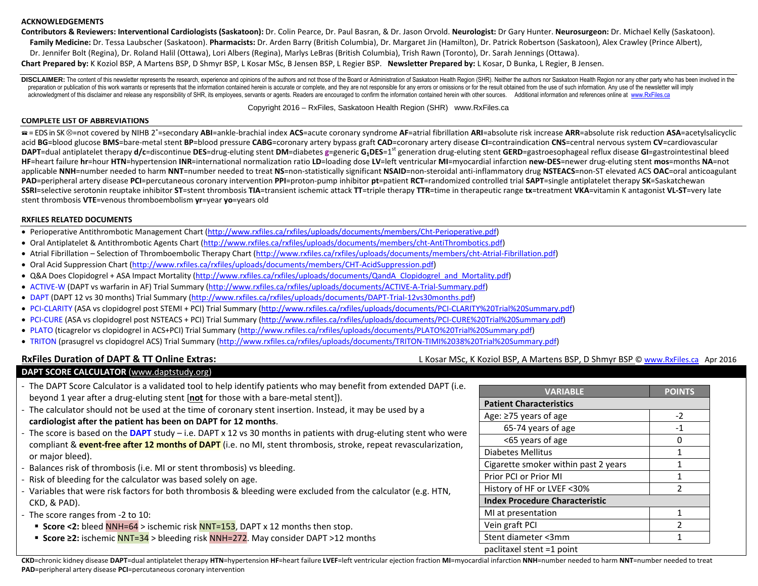### **ACKNOWLEDGEMENTS**

**Contributors & Reviewers: Interventional Cardiologists (Saskatoon):** Dr. Colin Pearce, Dr. Paul Basran, & Dr. Jason Orvold. **Neurologist:** Dr Gary Hunter. **Neurosurgeon:** Dr. Michael Kelly (Saskatoon). **Family Medicine:** Dr. Tessa Laubscher (Saskatoon). **Pharmacists:** Dr. Arden Barry (British Columbia), Dr. Margaret Jin (Hamilton), Dr. Patrick Robertson (Saskatoon), Alex Crawley (Prince Albert), Dr. Jennifer Bolt (Regina), Dr. Roland Halil (Ottawa), Lori Albers (Regina), Marlys LeBras (British Columbia), Trish Rawn (Toronto), Dr. Sarah Jennings (Ottawa). **Chart Prepared by:** K Koziol BSP, A Martens BSP, D Shmyr BSP, L Kosar MSc, B Jensen BSP, L Regier BSP. **Newsletter Prepared by:** L Kosar, D Bunka, L Regier, B Jensen.

DISCLAIMER: The content of this newsletter represents the research, experience and opinions of the authors and not those of the Board or Administration of Saskatoon Health Region (SHR). Neither the authors nor Saskatoon He preparation or publication of this work warrants or represents that the information contained herein is accurate or complete, and they are not responsible for any errors or omissions or for the result obtained from the use acknowledgment of this disclaimer and release any responsibility of SHR, its employees, servants or agents. Readers are encouraged to confirm the information contained herein with other sources. Additional information and

Copyright 2016 – RxFiles, Saskatoon Health Region (SHR) www.RxFiles.ca

### **COMPLETE LIST OF ABBREVIATIONS**

a = EDS in SK ⊗=not covered by NIHB 2°=secondary ABI=ankle-brachial index ACS=acute coronary syndrome AF=atrial fibrillation ARI=absolute risk increase ARR=absolute risk reduction ASA=acetylsalicyclic acid BG=blood glucose BMS=bare-metal stent BP=blood pressure CABG=coronary artery bypass graft CAD=coronary artery disease CI=contraindication CNS=central nervous system CV=cardiovascular DAPT=dual antiplatelet therapy d/c=discontinue DES=drug-eluting stent DM=diabetes g=generic G<sub>1</sub>DES=1<sup>st</sup> generation drug-eluting stent GERD=gastroesophageal reflux disease GI=gastrointestinal bleed HF=heart failure hr=hour HTN=hypertension INR=international normalization ratio LD=loading dose LV=left ventricular MI=myocardial infarction new-DES=newer drug-eluting stent mos=months NA=not applicable NNH=number needed to harm NNT=number needed to treat NS=non-statistically significant NSAID=non-steroidal anti-inflammatory drug NSTEACS=non-ST elevated ACS OAC=oral anticoagulant PAD=peripheral artery disease PCI=percutaneous coronary intervention PPI=proton-pump inhibitor pt=patient RCT=randomized controlled trial SAPT=single antiplatelet therapy SK=Saskatchewan SSRI=selective serotonin reuptake inhibitor ST=stent thrombosis TIA=transient ischemic attack TT=triple therapy TTR=time in therapeutic range tx=treatment VKA=vitamin K antagonist VL-ST=very late stent thrombosis **VTE**=venous thromboembolism **yr**=year **yo**=years old

### **RXFILES RELATED DOCUMENTS**

- Perioperative Antithrombotic Management Chart (http://www.rxfiles.ca/rxfiles/uploads/documents/members/Cht-Perioperative.pdf)
- Oral Antiplatelet & Antithrombotic Agents Chart (http://www.rxfiles.ca/rxfiles/uploads/documents/members/cht-AntiThrombotics.pdf)
- Atrial Fibrillation Selection of Thromboembolic Therapy Chart (http://www.rxfiles.ca/rxfiles/uploads/documents/members/cht-Atrial-Fibrillation.pdf)
- Oral Acid Suppression Chart (http://www.rxfiles.ca/rxfiles/uploads/documents/members/CHT-AcidSuppression.pdf)
- Q&A Does Clopidogrel + ASA Impact Mortality (http://www.rxfiles.ca/rxfiles/uploads/documents/QandA\_Clopidogrel\_and\_Mortality.pdf)
- ACTIVE-W (DAPT vs warfarin in AF) Trial Summary (http://www.rxfiles.ca/rxfiles/uploads/documents/ACTIVE-A-Trial-Summary.pdf)
- DAPT (DAPT 12 vs 30 months) Trial Summary (http://www.rxfiles.ca/rxfiles/uploads/documents/DAPT-Trial-12vs30months.pdf)
- PCI-CLARITY (ASA vs clopidogrel post STEMI + PCI) Trial Summary (http://www.rxfiles.ca/rxfiles/uploads/documents/PCI-CLARITY%20Trial%20Summary.pdf)
- PCI-CURE (ASA vs clopidogrel post NSTEACS + PCI) Trial Summary (http://www.rxfiles.ca/rxfiles/uploads/documents/PCI-CURE%20Trial%20Summary.pdf)
- PLATO (ticagrelor vs clopidogrel in ACS+PCI) Trial Summary (http://www.rxfiles.ca/rxfiles/uploads/documents/PLATO%20Trial%20Summary.pdf)
- TRITON (prasugrel vs clopidogrel ACS) Trial Summary (http://www.rxfiles.ca/rxfiles/uploads/documents/TRITON-TIMI%2038%20Trial%20Summary.pdf)

### **RxFiles Duration of DAPT & TT Online Extras: Let Apr 2016 Let Apr 2016 Let Apr 2016 Let Apr 2016 Let Apr 2016 Let Apr 2016 Let Apr 2016 Let Apr 2016 Let Apr 2016 Let Apr 2016 Let Apr 2016 Let Apr 2**

### **DAPT SCORE CALCULATOR** (www.daptstudy.org)

- The DAPT Score Calculator is a validated tool to help identify patients who may benefit from extended DAPT (i.e. beyond 1 year after a drug-eluting stent [**not** for those with a bare-metal stent]).
- The calculator should not be used at the time of coronary stent insertion. Instead, it may be used by a **cardiologist after the patient has been on DAPT for 12 months**.
- The score is based on the **DAPT** study i.e. DAPT x 12 vs 30 months in patients with drug-eluting stent who were compliant & **event-free after 12 months of DAPT** (i.e. no MI, stent thrombosis, stroke, repeat revascularization, or major bleed).
- -Balances risk of thrombosis (i.e. MI or stent thrombosis) vs bleeding.
- -Risk of bleeding for the calculator was based solely on age.
- Variables that were risk factors for both thrombosis & bleeding were excluded from the calculator (e.g. HTN, CKD, & PAD).
- The score ranges from -2 to 10:
	- **Score <2:** bleed NNH=64 > ischemic risk NNT=153, DAPT x 12 months then stop.
	- **Score ≥2:** ischemic NNT=34 > bleeding risk NNH=272. May consider DAPT >12 months

| <b>VARIABLE</b>                       | <b>POINTS</b>  |
|---------------------------------------|----------------|
| <b>Patient Characteristics</b>        |                |
| Age: ≥75 years of age                 | $-2$           |
| 65-74 years of age                    | $-1$           |
| <65 years of age                      | n              |
| <b>Diabetes Mellitus</b>              | 1              |
| Cigarette smoker within past 2 years  | 1              |
| Prior PCI or Prior MI                 | 1              |
| History of HF or LVEF <30%            | $\mathfrak{p}$ |
| <b>Index Procedure Characteristic</b> |                |
| MI at presentation                    | 1              |
| Vein graft PCI                        | 2              |
| Stent diameter <3mm                   |                |
| paclitaxel stent =1 point             |                |

CKD=chronic kidney disease DAPT=dual antiplatelet therapy HTN=hypertension HF=heart failure LVEF=left ventricular ejection fraction MI=myocardial infarction NNH=number needed to harm NNT=number needed to harm NNT=number ne **PAD**=peripheral artery disease **PCI**=percutaneous coronary intervention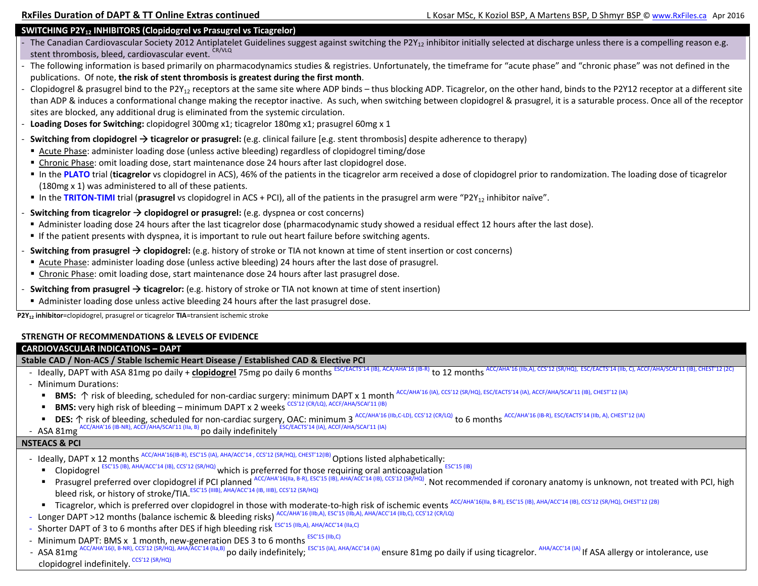### **SWITCHING P2Y<sub>12</sub> INHIBITORS (Clopidogrel vs Prasugrel vs Ticagrelor)**

- The Canadian Cardiovascular Society 2012 Antiplatelet Guidelines suggest against switching the P2Y<sub>12</sub> inhibitor initially selected at discharge unless there is a compelling reason e.g. stent thrombosis, bleed, cardiovascular event. CR/VLQ
- - The following information is based primarily on pharmacodynamics studies & registries. Unfortunately, the timeframe for "acute phase" and "chronic phase" was not defined in the publications. Of note, **the risk of stent thrombosis is greatest during the first month**.
- Clopidogrel & prasugrel bind to the P2Y<sub>12</sub> receptors at the same site where ADP binds thus blocking ADP. Ticagrelor, on the other hand, binds to the P2Y12 receptor at a different site than ADP & induces a conformational change making the receptor inactive. As such, when switching between clopidogrel & prasugrel, it is a saturable process. Once all of the receptor sites are blocked, any additional drug is eliminated from the systemic circulation.
- **Loading Doses for Switching:** clopidogrel 300mg x1; ticagrelor 180mg x1; prasugrel 60mg x 1
- **Switching from clopidogrel → ticagrelor or prasugrel:** (e.g. clinical failure [e.g. stent thrombosis] despite adherence to therapy)
- Acute Phase: administer loading dose (unless active bleeding) regardless of clopidogrel timing/dose
- **Chronic Phase: omit loading dose, start maintenance dose 24 hours after last clopidogrel dose.**
- In the PLATO trial (ticagrelor vs clopidogrel in ACS), 46% of the patients in the ticagrelor arm received a dose of clopidogrel prior to randomization. The loading dose of ticagrelor (180mg x 1) was administered to all of these patients.
- In the TRITON-TIMI trial (prasugrel vs clopidogrel in ACS + PCI), all of the patients in the prasugrel arm were "P2Y<sub>12</sub> inhibitor naïve".
- **Switching from ticagrelor**  $\rightarrow$  **clopidogrel or prasugrel:** (e.g. dyspnea or cost concerns)
	- Administer loading dose 24 hours after the last ticagrelor dose (pharmacodynamic study showed a residual effect 12 hours after the last dose).
- If the patient presents with dyspnea, it is important to rule out heart failure before switching agents.
- -**- Switching from prasugrel → clopidogrel:** (e.g. history of stroke or TIA not known at time of stent insertion or cost concerns)
- Acute Phase: administer loading dose (unless active bleeding) 24 hours after the last dose of prasugrel.
- **Chronic Phase:** omit loading dose, start maintenance dose 24 hours after last prasugrel dose.
- **F** Switching from prasugrel → ticagrelor: (e.g. history of stroke or TIA not known at time of stent insertion)
- Administer loading dose unless active bleeding 24 hours after the last prasugrel dose.

**P2Y12 inhibitor**=clopidogrel, prasugrel or ticagrelor **TIA**=transient ischemic stroke

### **STRENGTH OF RECOMMENDATIONS & LEVELS OF EVIDENCE**

### **CARDIOVASCULAR INDICATIONS – DAPT**

### **Stable CAD / Non-ACS / Stable Ischemic Heart Disease / Established CAD & Elective PCI**

- Ideally, DAPT with ASA 81mg po daily + clopidogrel 75mg po daily 6 months <sup>ESC/EACTS'14 (IB), ACA/AHA'16 (IB-R)</sup> to 12 months <sup>ACC/AHA'16 (IIb,A), CCS'12 (SR/HQ), ESC/EACTS'14 (IIb, C), ACCF/AHA/SCAI'11 (IB), CHEST'12 (2</sup>
- Minimum Durations:
	- BMS: 个 risk of bleeding, scheduled for non-cardiac surgery: minimum DAPT x 1 month <sup>ACC/AHA'16 (IA), CCS'12 (SR/HQ), ESC/EACTS'14 (IA), ACCF/AHA/SCAI'11 (IB), CHEST'12 (IA)</sup>
	- n **BMS:** very high risk of bleeding – minimum DAPT x 2 weeks CCS'12 (CR/LQ), ACCF/AHA/SCAI'11 (IB)
	- DES: 个 risk of bleeding, scheduled for non-cardiac surgery, OAC: minimum 3 ACC/AHA'16 (IIb,C-LD), CCS'12 (CR/LQ) to 6 months ACC/AHA'16 (IB-R), ESC/EACTS'14 (IIb, A), CHEST'12 (IA) CC/AHA'16 (IB-NR), ACCF/AHA/SCAI'11 (IIa, B) po daily indefinitely ESC/EACTS'14 (IA), ACCF/AHA/SCAI'11 (IA)
- ASA 81mg

-

### **NSTEACS & PCI**

- Ideally, DAPT x 12 months <sup>ACC/AHA'16(IB-R), ESC'15 (IA), AHA/ACC'14 , CCS'12 (SR/HQ), CHEST'12(IB) Options listed alphabetically:</sup>
	- П Clopidogrel ESC'15 (IB), AHA/ACC'14 (IB), CCS'12 (SR/HQ) which is preferred for those requiring oral anticoagulation  $ESC15$  (IB)
	- Prasugrel preferred over clopidogrel if PCI planned ACC/AHA'16(IIa, B-R), ESC'15 (IB), AHA/ACC'14 (IB), CCS'12 (SR/HQ). Not recommended if coronary anatomy is unknown, not treated with PCI, high bleed risk, or history of stroke/TIA. ESC'15 (IIIB), AHA/ACC'14 (IB, IIIB), CCS'12 (SR/HQ)
	- Ticagrelor, which is preferred over clopidogrel in those with moderate-to-high risk of ischemic events ACC/AHA'16(IIa, B-R), ESC'15 (IB), AHA/ACC'14 (IB), CCS'12 (SR/HQ), CHEST'12 (2B)
- Longer DAPT >12 months (balance ischemic & bleeding risks) ACC/AHA'16 (IIb,A), ESC'15 (IIb,A), AHA/ACC'14 (IIb,C), CCS'12 (CR/LQ)
- Shorter DAPT of 3 to 6 months after DES if high bleeding risk <sup>ESC'15 (IIb,A), AHA/ACC'14 (IIa,C)</sup>
- Minimum DAPT: BMS x 1 month, new-generation DES 3 to 6 months ESC'15 (IIb,C)
- ASA 81mg <sup>ACC/AHA'16(I, B-NR), CCS'12 (SR/HQ), AHA/ACC'14 (IIa,B)</sup> po daily indefinitely; <sup>ESC'15 (IA), AHA/ACC'14 (IA)</sup> ensure 81mg po daily if using ticagrelor. AHA/ACC'14 (IA) If ASA allergy or intolerance, use clopidogrel indefinitely. CCS'12 (SR/HQ)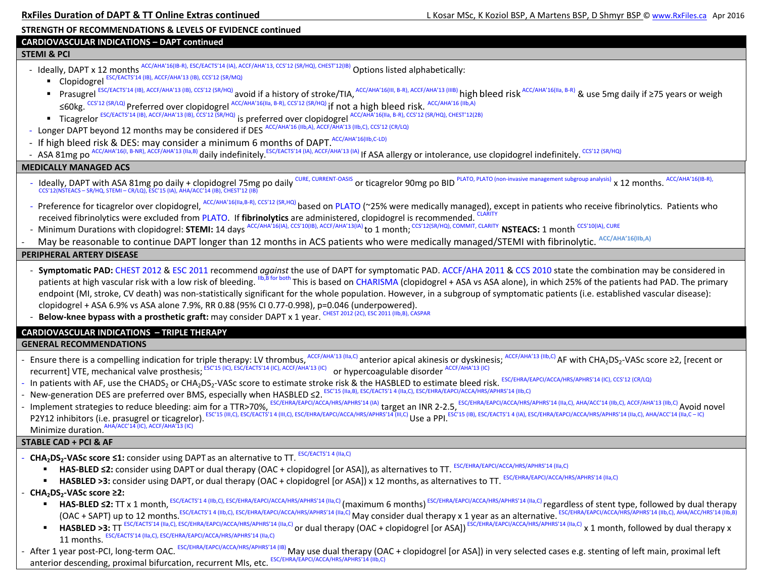### **STRENGTH OF RECOMMENDATIONS & LEVELS OF EVIDENCE continued**

### **CARDIOVASCULAR INDICATIONS – DAPT continued**

### **STEMI & PCI**

- Ideally, DAPT x 12 months ACC/AHA'16(IB-R), ESC/EACTS'14 (IA), ACCF/AHA'13, CCS'12 (SR/HQ), CHEST'12(IB) Options listed alphabetically:
	- Clopidogrel ESC/EACTS'14 (IB), ACCF/AHA'13 (IB), CCS'12 (SR/MQ)
	- Prasugrel ESC/EACTS'14 (IB), ACCF/AHA'13 (IB), CCS'12 (SR/HQ) avoid if a history of stroke/TIA, ACC/AHA'16(III, B-R), ACCF/AHA'13 (IIB) high bleed risk ACC/AHA'16(IIa, B-R) & use 5mg daily if ≥75 years or weigh <sup>≤</sup>60kg. CCS'12 (SR/LQ) Preferred over clopidogrel ACC/AHA'16(IIa, B-R), CCS'12 (SR/HQ) if not a high bleed risk. ACC/AHA'16 (IIb,A)
	- Ticagrelor ESC/EACTS'14 (IB), ACCF/AHA'13 (IB), CCS'12 (SR/HQ) is preferred over clopidogrel ACC/AHA'16(IIa, B-R), CCS'12 (SR/HQ), CHEST'12(2B)
- Longer DAPT beyond 12 months may be considered if DES ACC/AHA'16 (IIb,A), ACCF/AHA'13 (IIb,C), CCS'12 (CR/LQ)
- If high bleed risk & DES: may consider a minimum 6 months of DAPT. ACC/AHA'16(IIb,C-LD)
- ASA 81mg po <sup>ACC/AHA'16(I, B-NR), ACCF/AHA'13 (IIa,B)</sup> daily indefinitely.<sup>ESC/EACTS'14</sup> (IA), ACCF/AHA'13 (IA) If ASA allergy or intolerance, use clopidogrel indefinitely. CCS'12 (SR/HQ)

### **MEDICALLY MANAGED ACS**

- Ideally, DAPT with ASA 81mg po daily + clopidogrel 75mg po daily <sup>CURE, CURRENT-OASIS</sup> or ticagrelor 90mg po BID PLATO, PLATO (non-invasive management subgroup analysis) x 12 months. ACC/AHA'16(IB-R),<br>CCS'12(NSTEACS SR
- Preference for ticagrelor over clopidogrel, <sup>ACC/AHA'16(IIa,B-R), CCS'12 (SR,HQ)</sup> based on PLATO (~25% were medically managed), except in patients who receive fibrinolytics. Patients who received fibrinolytics were excluded from PLATO. If **fibrinolytics** are administered, clopidogrel is recommended. CLARITY
- Minimum Durations with clopidogrel: **STEMI:** 14 days <sup>ACC/AHA'16(IA), CCS'10(IB), ACCF/AHA'13(IA) to 1 month; <sup>CCS'12(SR/HQ), COMMIT, CLARITY</sup> **NSTEACS:** 1 month <sup>CCS'10(IA), CURE</sup></sup>

-May be reasonable to continue DAPT longer than 12 months in ACS patients who were medically managed/STEMI with fibrinolytic. ACC/AHA'16(IIb,A)

### **PERIPHERAL ARTERY DISEASE**

- **Symptomatic PAD:** CHEST 2012 & ESC 2011 recommend *against* the use of DAPT for symptomatic PAD. ACCF/AHA 2011 & CCS 2010 state the combination may be considered in patients at high vascular risk with a low risk of bleeding. IIb,B for both This is based on CHARISMA (clopidogrel + ASA vs ASA alone), in which 25% of the patients had PAD. The primary endpoint (MI, stroke, CV death) was non-statistically significant for the whole population. However, in a subgroup of symptomatic patients (i.e. established vascular disease): clopidogrel + ASA 6.9% vs ASA alone 7.9%, RR 0.88 (95% CI 0.77-0.998), p=0.046 (underpowered).
- **Below-knee bypass with a prosthetic graft:** may consider DAPT x 1 year. CHEST 2012 (2C), ESC 2011 (IIb,B), CASPAR

### **CARDIOVASCULAR INDICATIONS – TRIPLE THERAPY**

### **GENERAL RECOMMENDATIONS**

- Ensure there is a compelling indication for triple therapy: LV thrombus, ACCF/AHA'13 (IIa,C) anterior apical akinesis or dyskinesis; ACCF/AHA'13 (IIb,C) AF with CHA<sub>2</sub>DS<sub>2</sub>-VASc score ≥2, [recent or recurrent] VTE, mechanical valve prosthesis; ESC'15 (IC), ESC/EACTS'14 (IC), ACCF/AHA'13 (IC) or hypercoagulable disorder ACCF/AHA'13 (IC)
- In patients with AF, use the CHADS<sub>2</sub> or CHA<sub>2</sub>DS<sub>2</sub>-VASc score to estimate stroke risk & the HASBLED to estimate bleed risk. ESC/EHRA/EAPCI/ACCA/HRS/APHRS'14 (IC), CCS'12 (CR/LQ)
- New-generation DES are preferred over BMS, especially when HASBLED ≤2. ESC'15 (IIa,B), ESC/EACTS'1 4 (IIa,C), ESC/EHRA/EAPCI/ACCA/HRS/APHRS'14 (IIb,C)
- Implement strategies to reduce bleeding: aim for a TTR>70%, ESC/EHRA/EAPCI/ACCA/HRS/APHRS'14 (IA) target an INR 2-2.5, ESC/EHRA/EAPCI/ACCA/HRS/APHRS'14 (IIa,C), AHA/ACC'14 (IIb,C), ACCF/AHA'13 (IIb,C) Avoid novel P2Y12 inhibitors (i.e. prasugrel or ticagrelor). ESC'15 (III,C), ESC/EACTS'1 4 (III,C), ESC/EACTS'1 4 (III,C), ESC/EHRA/EAPCI/ACCA/HRS/APHRS/14 (III,C) Use a PPI. ESC'15 (IB), ESC/EACTS'1 4 (IA), ESC/EHRA/EAPCI/ACCA/HRS/AP Minimize duration. AHA/ACC'14 (IC), ACCF/AHA'13 (IC)

- **STABLE CAD + PCI & AF**
- *-* **CHA2DS2-VASc score ≤1:** consider using DAPT as an alternative to TT. ESC/EACTS'1 4 (IIa,C)
	- г HAS-BLED ≤2: consider using DAPT or dual therapy (OAC + clopidogrel [or ASA]), as alternatives to TT. ESC/EHRA/EAPCI/ACCA/HRS/APHRS'14 (IIa,C)
	- **HASBLED >3:** consider using DAPT, or dual therapy (OAC + clopidogrel [or ASA]) x 12 months, as alternatives to TT. ESC/EHRA/EAPCI/ACCA/HRS/APHRS'14 (IIa,C)
- *-* **CHA2DS2-VASc score ≥2:**
	- $\mathbf{H}^{\text{max}}$ **HAS-BLED ≤2:** TT x 1 month. ESC/EACTS'14 (IIb,C), ESC/EHRA/EAPCI/ACCA/HRS/APHRS'14 (IIa,C) (maximum 6 months) ESC/EHRA/EAPCI/ACCA/HRS/APHRS'14 (IIa,C) regardless of stent type, followed by dual therapy (OAC + SAPT) up to 12 months.ESC/EACTS'1 4 (IIb,C), ESC/EHRA/EAPCI/ACCA/HRS/APHRS'14 (IIa,C) May consider dual therapy x 1 year as an alternative. ESC/EHRA/EAPCI/ACCA/HRS/APHRS'14 (IIb,C), AHA/ACC/HRS'14 (IIb,B)
	- $\blacksquare$ ■ HASBLED >3: TT <sup>ESC/EACTS'14 (IIa,C), ESC/EHRA/EAPCI/ACCA/HRS/APHRS'14 (IIa,C) or dual therapy (OAC + clopidogrel [or ASA]) ESC/EHRA/EAPCI/ACCA/HRS/APHRS'14 (IIa,C) x 1 month, followed by dual therapy x</sup> 11 months. ESC/EACTS'14 (IIa,C), ESC/EHRA/EAPCI/ACCA/HRS/APHRS'14 (IIa,C)
- After 1 year post-PCI, long-term OAC. ESC/EHRA/EAPCI/ACCA/HRS/APHRS'14 (IB) May use dual therapy (OAC + clopidogrel [or ASA]) in very selected cases e.g. stenting of left main, proximal left anterior descending, proximal bifurcation, recurrent MIs, etc. ESC/EHRA/EAPCI/ACCA/HRS/APHRS'14 (IIb,C)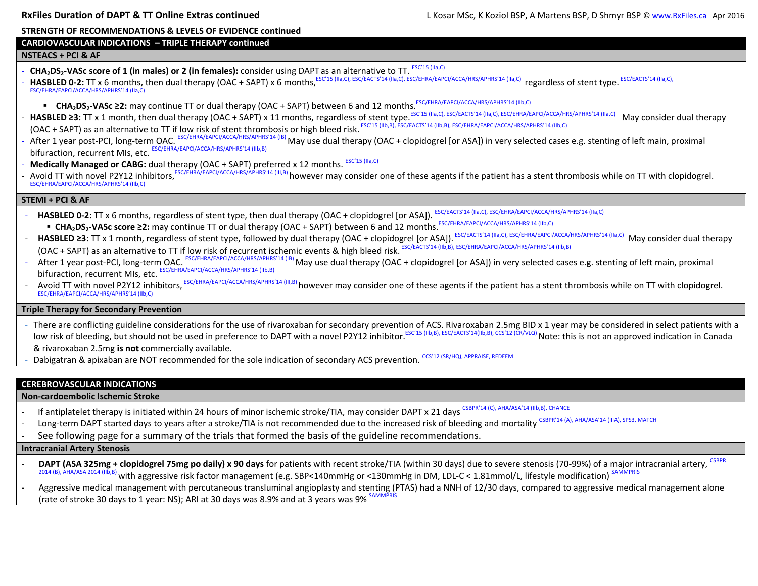### **STRENGTH OF RECOMMENDATIONS & LEVELS OF EVIDENCE continued**

### **CARDIOVASCULAR INDICATIONS – TRIPLE THERAPY continued**

### **NSTEACS + PCI & AF**

- **CHA<sub>2</sub>DS<sub>2</sub>-VASc score of 1 (in males) or 2 (in females):** consider using DAPT as an alternative to TT. *ESC'15 (IIa,C)*
- HASBLED 0-2: TT x 6 months, then dual therapy (OAC + SAPT) x 6 months, ESC'15 (IIa,C), ESC/EACTS'14 (IIa,C), ESC/ERRA/EAPCI/ACCA/HRS/APHRS'14 (IIa,C) regardless of stent type. ESC/EACTS'14 (IIa,C), ESC/EHRA/EAPCI/ACCA/HRS/APHRS'14 (IIa,C)
	- **CHA<sub>2</sub>DS<sub>2</sub>-VASc ≥2:** may continue TT or dual therapy (OAC + SAPT) between 6 and 12 months.<sup>ESC/EHRA/EAPCI/ACCA/HRS/APHRS'14 (IIb,C)</sup>
- HASBLED ≥3: TT x 1 month, then dual therapy (OAC + SAPT) x 11 months, regardless of stent type.<sup>ESC'15 (IIa,C), ESC/EACTS'14 (IIa,C), ESC/EHRA/EAPCI/ACCA/HRS/APHRS'14 (IIa,C) May consider dual therapy</sup> (OAC + SAPT) as an alternative to TT if low risk of stent thrombosis or high bleed risk. ESC'15 (IIb,B), ESC/EACTS'14 (IIb,B), ESC/EHRA/EAPCI/ACCA/HRS/APHRS'14 (IIb,C)
- *-*After 1 year post-PCI, long-term OAC. ESC/EHRA/EAPCI/ACCA/HRS/APHRS'14 (IB) May use dual therapy (OAC + clopidogrel [or ASA]) in very selected cases e.g. stenting of left main, proximal bifuraction, recurrent MIs, etc. ESC/EHRA/EAPCI/ACCA/HRS/APHRS'14 (IIb,B)
- **Medically Managed or CABG:** dual therapy (OAC + SAPT) preferred x 12 months. ESC'15 (IIa,C)
- *-*- Avoid TT with novel P2Y12 inhibitors, ESC/EHRA/EAPCI/ACCA/HRS/APHRS'14 (III,B) however may consider one of these agents if the patient has a stent thrombosis while on TT with clopidogrel.<br>ESC/EHRA/EAPCI/ACCA/HRS/APHRS'14

### **STEMI + PCI & AF**

- *-*HASBLED 0-2: TT x 6 months, regardless of stent type, then dual therapy (OAC + clopidogrel [or ASA]). ESC/EACTS'14 (IIa,C), ESC/EHRA/EAPCI/ACCA/HRS/APHRS'14 (IIa,C)
	- CHA<sub>2</sub>DS<sub>2</sub>-VASc score ≥2: may continue TT or dual therapy (OAC + SAPT) between 6 and 12 months.<sup>ESC/EHRA/EAPCI/ACCA/HRS/APHRS'14 (IIb,C)</sup>
- *-*HASBLED ≥3: TT x 1 month, regardless of stent type, followed by dual therapy (OAC + clopidogrel [or ASA]). ESC/EACTS'14 (IIa,C), ESC/EHRA/EAPCI/ACCA/HRS/APHRS'14 (IIa,C) May consider dual therapy (OAC + SAPT) as an alternative to TT if low risk of recurrent ischemic events & high bleed risk. ESC/EACTS'14 (IIb,B), ESC/EHRA/EAPCI/ACCA/HRS/APHRS'14 (IIb,B)
- *-*After 1 year post-PCI, long-term OAC. ESC/EHRA/EAPCI/ACCA/HRS/APHRS'14 (IB) May use dual therapy (OAC + clopidogrel [or ASA]) in very selected cases e.g. stenting of left main, proximal bifuraction, recurrent MIs, etc. ESC/EHRA/EAPCI/ACCA/HRS/APHRS'14 (IIb,B)
- *-*Avoid TT with novel P2Y12 inhibitors, ESC/EHRA/EAPCI/ACCA/HRS/APHRS'14 (III,B) however may consider one of these agents if the patient has a stent thrombosis while on TT with clopidogrel. ESC/EHRA/EAPCI/ACCA/HRS/APHRS'14 (IIb,C)

### **Triple Therapy for Secondary Prevention**

- There are conflicting guideline considerations for the use of rivaroxaban for secondary prevention of ACS. Rivaroxaban 2.5mg BID x 1 year may be considered in select patients with a low risk of bleeding, but should not be used in preference to DAPT with a novel P2Y12 inhibitor.<sup>ESC'15 (IIb,B), ESC/EACTS'14(IIb,B), CCS'12 (CR/VLQ)</sup> Note: this is not an approved indication in Canada & rivaroxaban 2.5mg **is not** commercially available.
- Dabigatran & apixaban are NOT recommended for the sole indication of secondary ACS prevention. CCS'12 (SR/HQ), APPRAISE,

### **CEREBROVASCULAR INDICATIONS**

### **Non-cardoembolic Ischemic Stroke**

- If antiplatelet therapy is initiated within 24 hours of minor ischemic stroke/TIA, may consider DAPT x 21 days CSBPR'14 (C), AHA/ASA'14 (IIb,B), CHANCE
- Long-term DAPT started days to years after a stroke/TIA is not recommended due to the increased risk of bleeding and mortality CSBPR'14 (A), AHA/ASA'14 (IIIA), SPS3, MATCH
- See following page for a summary of the trials that formed the basis of the guideline recommendations.

### **Intracranial Artery Stenosis**

DAPT (ASA 325mg + clopidogrel 75mg po daily) x 90 days for patients with recent stroke/TIA (within 30 days) due to severe stenosis (70-99%) of a major intracranial artery, 2014 (B), AHA/ASA 2014 (IIb,B) with aggressive risk factor management (e.g. SBP<140mmHg or <130mmHg in DM, LDL-C < 1.81mmol/L, lifestyle modification) SAMMPRIS

-Aggressive medical management with percutaneous transluminal angioplasty and stenting (PTAS) had a NNH of 12/30 days, compared to aggressive medical management alone (rate of stroke 30 days to 1 year: NS); ARI at 30 days was 8.9% and at 3 years was 9%  $^{\text{S}}$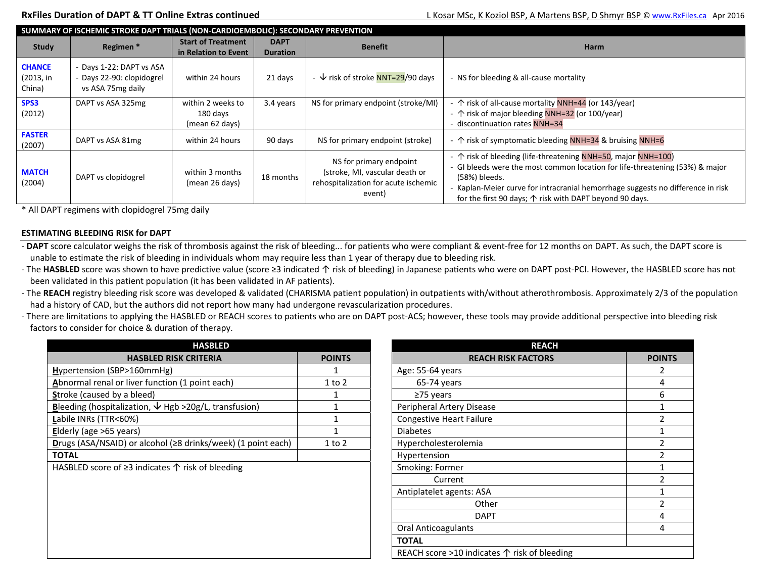| SUMMARY OF ISCHEMIC STROKE DAPT TRIALS (NON-CARDIOEMBOLIC): SECONDARY PREVENTION |                                                                        |                                                   |                                |                                                                                                             |                                                                                                                                                                                                                                                                                                                              |  |  |
|----------------------------------------------------------------------------------|------------------------------------------------------------------------|---------------------------------------------------|--------------------------------|-------------------------------------------------------------------------------------------------------------|------------------------------------------------------------------------------------------------------------------------------------------------------------------------------------------------------------------------------------------------------------------------------------------------------------------------------|--|--|
| Study                                                                            | Regimen*                                                               | <b>Start of Treatment</b><br>in Relation to Event | <b>DAPT</b><br><b>Duration</b> | <b>Benefit</b>                                                                                              | <b>Harm</b>                                                                                                                                                                                                                                                                                                                  |  |  |
| <b>CHANCE</b><br>(2013, in<br>China)                                             | Days 1-22: DAPT vs ASA<br>Days 22-90: clopidogrel<br>vs ASA 75mg daily | within 24 hours                                   | 21 days                        | $\psi$ risk of stroke NNT=29/90 days                                                                        | - NS for bleeding & all-cause mortality                                                                                                                                                                                                                                                                                      |  |  |
| SPS3<br>(2012)                                                                   | DAPT vs ASA 325mg                                                      | within 2 weeks to<br>180 days<br>(mean 62 days)   | 3.4 years                      | NS for primary endpoint (stroke/MI)                                                                         | - ^ risk of all-cause mortality NNH=44 (or 143/year)<br>- $\uparrow$ risk of major bleeding NNH=32 (or 100/year)<br>- discontinuation rates NNH=34                                                                                                                                                                           |  |  |
| <b>FASTER</b><br>(2007)                                                          | DAPT vs ASA 81mg                                                       | within 24 hours                                   | 90 days                        | NS for primary endpoint (stroke)                                                                            | - ^ risk of symptomatic bleeding NNH=34 & bruising NNH=6                                                                                                                                                                                                                                                                     |  |  |
| <b>MATCH</b><br>(2004)                                                           | DAPT vs clopidogrel                                                    | within 3 months<br>(mean 26 days)                 | 18 months                      | NS for primary endpoint<br>(stroke, MI, vascular death or<br>rehospitalization for acute ischemic<br>event) | - $\uparrow$ risk of bleeding (life-threatening NNH=50, major NNH=100)<br>- GI bleeds were the most common location for life-threatening (53%) & major<br>(58%) bleeds.<br>Kaplan-Meier curve for intracranial hemorrhage suggests no difference in risk<br>for the first 90 days; $\uparrow$ risk with DAPT beyond 90 days. |  |  |

\* All DAPT regimens with clopidogrel 75mg daily

### **ESTIMATING BLEEDING RISK for DAPT**

- **DAPT** score calculator weighs the risk of thrombosis against the risk of bleeding... for patients who were compliant & event-free for 12 months on DAPT. As such, the DAPT score is unable to estimate the risk of bleeding in individuals whom may require less than 1 year of therapy due to bleeding risk.

- The HASBLED score was shown to have predictive value (score ≥3 indicated 个 risk of bleeding) in Japanese patients who were on DAPT post-PCI. However, the HASBLED score has not been validated in this patient population (it has been validated in AF patients).
- The REACH registry bleeding risk score was developed & validated (CHARISMA patient population) in outpatients with/without atherothrombosis. Approximately 2/3 of the population had a history of CAD, but the authors did not report how many had undergone revascularization procedures.
- There are limitations to applying the HASBLED or REACH scores to patients who are on DAPT post-ACS; however, these tools may provide additional perspective into bleeding risk factors to consider for choice & duration of therapy.

| <b>HASBLED</b>                                                  |               | <b>REACH</b>                                          |             |
|-----------------------------------------------------------------|---------------|-------------------------------------------------------|-------------|
| <b>HASBLED RISK CRITERIA</b>                                    | <b>POINTS</b> | <b>REACH RISK FACTORS</b>                             | <b>POII</b> |
| Hypertension (SBP>160mmHg)                                      |               | Age: 55-64 years                                      |             |
| Abnormal renal or liver function (1 point each)                 | 1 to 2        | $65-74$ years                                         |             |
| Stroke (caused by a bleed)                                      |               | $\geq$ 75 years                                       |             |
| Bleeding (hospitalization, $\psi$ Hgb >20g/L, transfusion)      |               | Peripheral Artery Disease                             |             |
| Labile INRs (TTR<60%)                                           |               | <b>Congestive Heart Failure</b>                       |             |
| Elderly (age >65 years)                                         |               | <b>Diabetes</b>                                       |             |
| Drugs (ASA/NSAID) or alcohol (≥8 drinks/week) (1 point each)    | $1$ to $2$    | Hypercholesterolemia                                  |             |
| <b>TOTAL</b>                                                    |               | Hypertension                                          |             |
| HASBLED score of $\geq$ 3 indicates $\uparrow$ risk of bleeding |               | Smoking: Former                                       |             |
|                                                                 |               | Current                                               |             |
|                                                                 |               | Antiplatelet agents: ASA                              |             |
|                                                                 |               | Other                                                 |             |
|                                                                 |               | <b>DAPT</b>                                           |             |
|                                                                 |               | <b>Oral Anticoagulants</b>                            |             |
|                                                                 |               | <b>TOTAL</b>                                          |             |
|                                                                 |               | REACH score >10 indicates $\uparrow$ risk of bleeding |             |

| <b>HASBLED</b>                        |               | <b>REACH</b>                                          |                         |  |
|---------------------------------------|---------------|-------------------------------------------------------|-------------------------|--|
| ED RISK CRITERIA                      | <b>POINTS</b> | <b>REACH RISK FACTORS</b>                             | <b>POINTS</b>           |  |
| nHg)                                  |               | Age: 55-64 years                                      | 2                       |  |
| nction (1 point each)                 | 1 to 2        | $65-74$ years                                         | 4                       |  |
|                                       |               | $\geq$ 75 years                                       | 6                       |  |
| $\downarrow$ Hgb >20g/L, transfusion) |               | Peripheral Artery Disease                             |                         |  |
|                                       |               | <b>Congestive Heart Failure</b>                       | $\mathfrak{p}$          |  |
|                                       |               | <b>Diabetes</b>                                       |                         |  |
| hol (≥8 drinks/week) (1 point each)   | 1 to 2        | Hypercholesterolemia                                  | $\overline{2}$          |  |
|                                       |               | Hypertension                                          | $\overline{\mathbf{z}}$ |  |
| ates $\uparrow$ risk of bleeding      |               | Smoking: Former                                       |                         |  |
|                                       |               | Current                                               |                         |  |
|                                       |               | Antiplatelet agents: ASA                              |                         |  |
|                                       |               | Other                                                 | $\overline{2}$          |  |
|                                       |               | <b>DAPT</b>                                           | 4                       |  |
|                                       |               | Oral Anticoagulants                                   | 4                       |  |
|                                       |               | <b>TOTAL</b>                                          |                         |  |
|                                       |               | REACH score >10 indicates $\uparrow$ risk of bleeding |                         |  |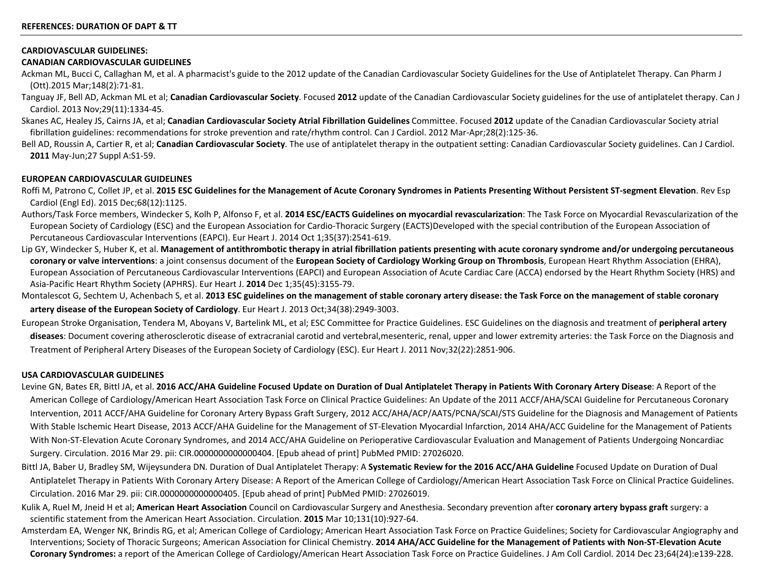### **CARDIOVASCULAR GUIDELINES:**

### **CANADIAN CARDIOVASCULAR GUIDELINES**

- Ackman ML, Bucci C, Callaghan M, et al. A pharmacist's guide to the 2012 update of the Canadian Cardiovascular Society Guidelines for the Use of Antiplatelet Therapy. Can Pharm J (Ott).2015 Mar;148(2):71-81.
- Tanguay JF, Bell AD, Ackman ML et al; **Canadian Cardiovascular Society**. Focused **2012** update of the Canadian Cardiovascular Society guidelines for the use of antiplatelet therapy. Can J Cardiol. 2013 Nov;29(11):1334-45.
- Skanes AC, Healey JS, Cairns JA, et al; **Canadian Cardiovascular Society Atrial Fibrillation Guidelines** Committee. Focused **2012** update of the Canadian Cardiovascular Society atrial fibrillation guidelines: recommendations for stroke prevention and rate/rhythm control. Can J Cardiol. 2012 Mar-Apr;28(2):125-36.
- Bell AD, Roussin A, Cartier R, et al; **Canadian Cardiovascular Society**. The use of antiplatelet therapy in the outpatient setting: Canadian Cardiovascular Society guidelines. Can J Cardiol. **2011** May-Jun;27 Suppl A:S1-59.

### **EUROPEAN CARDIOVASCULAR GUIDELINES**

- Roffi M, Patrono C, Collet JP, et al. **2015 ESC Guidelines for the Management of Acute Coronary Syndromes in Patients Presenting Without Persistent ST-segment Elevation**. Rev Esp Cardiol (Engl Ed). 2015 Dec;68(12):1125.
- Authors/Task Force members, Windecker S, Kolh P, Alfonso F, et al. **2014 ESC/EACTS Guidelines on myocardial revascularization**: The Task Force on Myocardial Revascularization of the European Society of Cardiology (ESC) and the European Association for Cardio-Thoracic Surgery (EACTS)Developed with the special contribution of the European Association of Percutaneous Cardiovascular Interventions (EAPCI). Eur Heart J. 2014 Oct 1;35(37):2541-619.
- Lip GY, Windecker S, Huber K, et al. Management of antithrombotic therapy in atrial fibrillation patients presenting with acute coronary syndrome and/or undergoing percutaneous **coronary or valve interventions**: a joint consensus document of the **European Society of Cardiology Working Group on Thrombosis**, European Heart Rhythm Association (EHRA), European Association of Percutaneous Cardiovascular Interventions (EAPCI) and European Association of Acute Cardiac Care (ACCA) endorsed by the Heart Rhythm Society (HRS) and Asia-Pacific Heart Rhythm Society (APHRS). Eur Heart J. **2014** Dec 1;35(45):3155-79.
- Montalescot G, Sechtem U, Achenbach S, et al. **2013 ESC guidelines on the management of stable coronary artery disease: the Task Force on the management of stable coronary artery disease of the European Society of Cardiology**. Eur Heart J. 2013 Oct;34(38):2949-3003.
- European Stroke Organisation, Tendera M, Aboyans V, Bartelink ML, et al; ESC Committee for Practice Guidelines. ESC Guidelines on the diagnosis and treatment of **peripheral artery diseases**: Document covering atherosclerotic disease of extracranial carotid and vertebral,mesenteric, renal, upper and lower extremity arteries: the Task Force on the Diagnosis and Treatment of Peripheral Artery Diseases of the European Society of Cardiology (ESC). Eur Heart J. 2011 Nov;32(22):2851-906.

### **USA CARDIOVASCULAR GUIDELINES**

- Levine GN, Bates ER, Bittl JA, et al. **2016 ACC/AHA Guideline Focused Update on Duration of Dual Antiplatelet Therapy in Patients With Coronary Artery Disease**: A Report of the American College of Cardiology/American Heart Association Task Force on Clinical Practice Guidelines: An Update of the 2011 ACCF/AHA/SCAI Guideline for Percutaneous Coronary Intervention, 2011 ACCF/AHA Guideline for Coronary Artery Bypass Graft Surgery, 2012 ACC/AHA/ACP/AATS/PCNA/SCAI/STS Guideline for the Diagnosis and Management of Patients With Stable Ischemic Heart Disease, 2013 ACCF/AHA Guideline for the Management of ST-Elevation Myocardial Infarction, 2014 AHA/ACC Guideline for the Management of Patients With Non-ST-Elevation Acute Coronary Syndromes, and 2014 ACC/AHA Guideline on Perioperative Cardiovascular Evaluation and Management of Patients Undergoing Noncardiac Surgery. Circulation. 2016 Mar 29. pii: CIR.0000000000000404. [Epub ahead of print] PubMed PMID: 27026020.
- Bittl JA, Baber U, Bradley SM, Wijeysundera DN. Duration of Dual Antiplatelet Therapy: A **Systematic Review for the 2016 ACC/AHA Guideline** Focused Update on Duration of Dual Antiplatelet Therapy in Patients With Coronary Artery Disease: A Report of the American College of Cardiology/American Heart Association Task Force on Clinical Practice Guidelines. Circulation. 2016 Mar 29. pii: CIR.0000000000000405. [Epub ahead of print] PubMed PMID: 27026019.
- Kulik A, Ruel M, Jneid H et al; **American Heart Association** Council on Cardiovascular Surgery and Anesthesia. Secondary prevention after **coronary artery bypass graft** surgery: a scientific statement from the American Heart Association. Circulation. **2015** Mar 10;131(10):927-64.
- Amsterdam EA, Wenger NK, Brindis RG, et al; American College of Cardiology; American Heart Association Task Force on Practice Guidelines; Society for Cardiovascular Angiography and Interventions; Society of Thoracic Surgeons; American Association for Clinical Chemistry. **2014 AHA/ACC Guideline for the Management of Patients with Non-ST-Elevation Acute Coronary Syndromes:** a report of the American College of Cardiology/American Heart Association Task Force on Practice Guidelines. J Am Coll Cardiol. 2014 Dec 23;64(24):e139-228.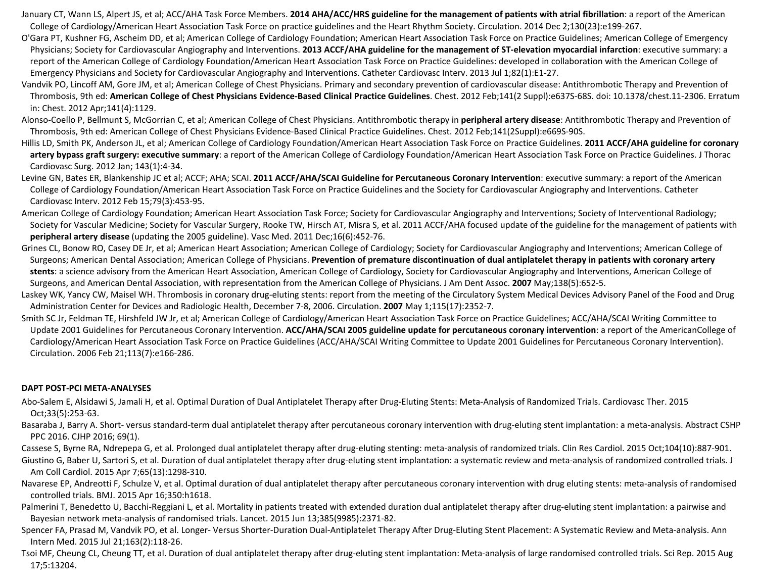January CT, Wann LS, Alpert JS, et al; ACC/AHA Task Force Members. **2014 AHA/ACC/HRS guideline for the management of patients with atrial fibrillation**: a report of the American College of Cardiology/American Heart Association Task Force on practice guidelines and the Heart Rhythm Society. Circulation. 2014 Dec 2;130(23):e199-267.

- O'Gara PT, Kushner FG, Ascheim DD, et al; American College of Cardiology Foundation; American Heart Association Task Force on Practice Guidelines; American College of Emergency Physicians; Society for Cardiovascular Angiography and Interventions. **2013 ACCF/AHA guideline for the management of ST-elevation myocardial infarction**: executive summary: a report of the American College of Cardiology Foundation/American Heart Association Task Force on Practice Guidelines: developed in collaboration with the American College of Emergency Physicians and Society for Cardiovascular Angiography and Interventions. Catheter Cardiovasc Interv. 2013 Jul 1;82(1):E1-27.
- Vandvik PO, Lincoff AM, Gore JM, et al; American College of Chest Physicians. Primary and secondary prevention of cardiovascular disease: Antithrombotic Therapy and Prevention of Thrombosis, 9th ed: **American College of Chest Physicians Evidence-Based Clinical Practice Guidelines**. Chest. 2012 Feb;141(2 Suppl):e637S-68S. doi: 10.1378/chest.11-2306. Erratum in: Chest. 2012 Apr;141(4):1129.
- Alonso-Coello P, Bellmunt S, McGorrian C, et al; American College of Chest Physicians. Antithrombotic therapy in **peripheral artery disease**: Antithrombotic Therapy and Prevention of Thrombosis, 9th ed: American College of Chest Physicians Evidence-Based Clinical Practice Guidelines. Chest. 2012 Feb;141(2Suppl):e669S-90S.
- Hillis LD, Smith PK, Anderson JL, et al; American College of Cardiology Foundation/American Heart Association Task Force on Practice Guidelines. **2011 ACCF/AHA guideline for coronary artery bypass graft surgery: executive summary**: a report of the American College of Cardiology Foundation/American Heart Association Task Force on Practice Guidelines. J Thorac Cardiovasc Surg. 2012 Jan; 143(1):4-34.
- Levine GN, Bates ER, Blankenship JC et al; ACCF; AHA; SCAI. **2011 ACCF/AHA/SCAI Guideline for Percutaneous Coronary Intervention**: executive summary: a report of the American College of Cardiology Foundation/American Heart Association Task Force on Practice Guidelines and the Society for Cardiovascular Angiography and Interventions. Catheter Cardiovasc Interv. 2012 Feb 15;79(3):453-95.
- American College of Cardiology Foundation; American Heart Association Task Force; Society for Cardiovascular Angiography and Interventions; Society of Interventional Radiology; Society for Vascular Medicine; Society for Vascular Surgery, Rooke TW, Hirsch AT, Misra S, et al. 2011 ACCF/AHA focused update of the guideline for the management of patients with **peripheral artery disease** (updating the 2005 guideline). Vasc Med. 2011 Dec;16(6):452-76.
- Grines CL, Bonow RO, Casey DE Jr, et al; American Heart Association; American College of Cardiology; Society for Cardiovascular Angiography and Interventions; American College of Surgeons; American Dental Association; American College of Physicians. **Prevention of premature discontinuation of dual antiplatelet therapy in patients with coronary artery stents**: a science advisory from the American Heart Association, American College of Cardiology, Society for Cardiovascular Angiography and Interventions, American College of Surgeons, and American Dental Association, with representation from the American College of Physicians. J Am Dent Assoc. **2007** May;138(5):652-5.
- Laskey WK, Yancy CW, Maisel WH. Thrombosis in coronary drug-eluting stents: report from the meeting of the Circulatory System Medical Devices Advisory Panel of the Food and Drug Administration Center for Devices and Radiologic Health, December 7-8, 2006. Circulation. **2007** May 1;115(17):2352-7.
- Smith SC Jr, Feldman TE, Hirshfeld JW Jr, et al; American College of Cardiology/American Heart Association Task Force on Practice Guidelines; ACC/AHA/SCAI Writing Committee to Update 2001 Guidelines for Percutaneous Coronary Intervention. **ACC/AHA/SCAI 2005 guideline update for percutaneous coronary intervention**: a report of the AmericanCollege of Cardiology/American Heart Association Task Force on Practice Guidelines (ACC/AHA/SCAI Writing Committee to Update 2001 Guidelines for Percutaneous Coronary Intervention). Circulation. 2006 Feb 21;113(7):e166-286.

### **DAPT POST-PCI META-ANALYSES**

- Abo-Salem E, Alsidawi S, Jamali H, et al. Optimal Duration of Dual Antiplatelet Therapy after Drug-Eluting Stents: Meta-Analysis of Randomized Trials. Cardiovasc Ther. 2015 Oct;33(5):253-63.
- Basaraba J, Barry A. Short- versus standard-term dual antiplatelet therapy after percutaneous coronary intervention with drug-eluting stent implantation: a meta-analysis. Abstract CSHP PPC 2016. CJHP 2016; 69(1).
- Cassese S, Byrne RA, Ndrepepa G, et al. Prolonged dual antiplatelet therapy after drug-eluting stenting: meta-analysis of randomized trials. Clin Res Cardiol. 2015 Oct;104(10):887-901.
- Giustino G, Baber U, Sartori S, et al. Duration of dual antiplatelet therapy after drug-eluting stent implantation: a systematic review and meta-analysis of randomized controlled trials. J Am Coll Cardiol. 2015 Apr 7;65(13):1298-310.
- Navarese EP, Andreotti F, Schulze V, et al. Optimal duration of dual antiplatelet therapy after percutaneous coronary intervention with drug eluting stents: meta-analysis of randomised controlled trials. BMJ. 2015 Apr 16;350:h1618.
- Palmerini T, Benedetto U, Bacchi-Reggiani L, et al. Mortality in patients treated with extended duration dual antiplatelet therapy after drug-eluting stent implantation: a pairwise and Bayesian network meta-analysis of randomised trials. Lancet. 2015 Jun 13;385(9985):2371-82.
- Spencer FA, Prasad M, Vandvik PO, et al. Longer- Versus Shorter-Duration Dual-Antiplatelet Therapy After Drug-Eluting Stent Placement: A Systematic Review and Meta-analysis. Ann Intern Med. 2015 Jul 21;163(2):118-26.
- Tsoi MF, Cheung CL, Cheung TT, et al. Duration of dual antiplatelet therapy after drug-eluting stent implantation: Meta-analysis of large randomised controlled trials. Sci Rep. 2015 Aug 17;5:13204.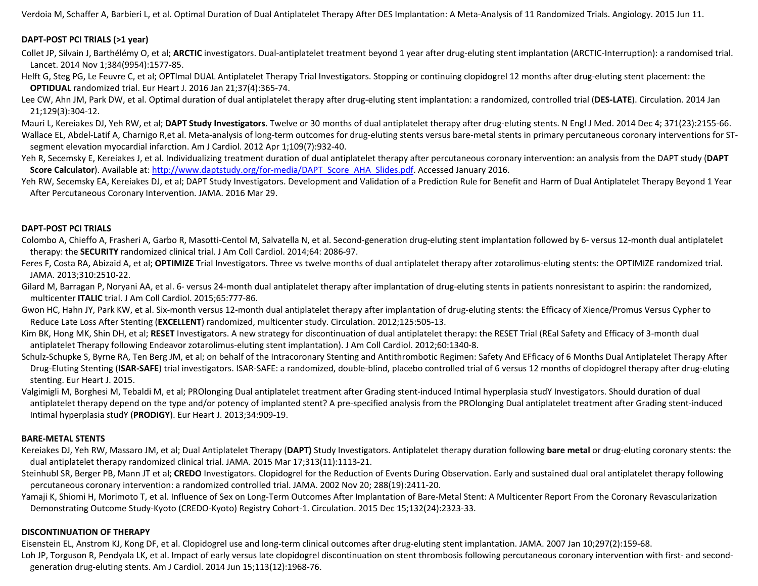Verdoia M, Schaffer A, Barbieri L, et al. Optimal Duration of Dual Antiplatelet Therapy After DES Implantation: A Meta-Analysis of 11 Randomized Trials. Angiology. 2015 Jun 11.

### **DAPT-POST PCI TRIALS (>1 year)**

Collet JP, Silvain J, Barthélémy O, et al; **ARCTIC** investigators. Dual-antiplatelet treatment beyond 1 year after drug-eluting stent implantation (ARCTIC-Interruption): a randomised trial. Lancet. 2014 Nov 1;384(9954):1577-85.

Helft G, Steg PG, Le Feuvre C, et al; OPTImal DUAL Antiplatelet Therapy Trial Investigators. Stopping or continuing clopidogrel 12 months after drug-eluting stent placement: the **OPTIDUAL** randomized trial. Eur Heart J. 2016 Jan 21;37(4):365-74.

Lee CW, Ahn JM, Park DW, et al. Optimal duration of dual antiplatelet therapy after drug-eluting stent implantation: a randomized, controlled trial (**DES-LATE**). Circulation. 2014 Jan 21;129(3):304-12.

Mauri L, Kereiakes DJ, Yeh RW, et al; **DAPT Study Investigators**. Twelve or 30 months of dual antiplatelet therapy after drug-eluting stents. N Engl J Med. 2014 Dec 4; 371(23):2155-66. Wallace EL, Abdel-Latif A, Charnigo R,et al. Meta-analysis of long-term outcomes for drug-eluting stents versus bare-metal stents in primary percutaneous coronary interventions for STsegment elevation myocardial infarction. Am J Cardiol. 2012 Apr 1;109(7):932-40.

Yeh R, Secemsky E, Kereiakes J, et al. Individualizing treatment duration of dual antiplatelet therapy after percutaneous coronary intervention: an analysis from the DAPT study (**DAPT Score Calculator**). Available at: http://www.daptstudy.org/for-media/DAPT\_Score\_AHA\_Slides.pdf. Accessed January 2016.

Yeh RW, Secemsky EA, Kereiakes DJ, et al; DAPT Study Investigators. Development and Validation of a Prediction Rule for Benefit and Harm of Dual Antiplatelet Therapy Bevond 1 Year After Percutaneous Coronary Intervention. JAMA. 2016 Mar 29.

### **DAPT-POST PCI TRIALS**

Colombo A, Chieffo A, Frasheri A, Garbo R, Masotti-Centol M, Salvatella N, et al. Second-generation drug-eluting stent implantation followed by 6- versus 12-month dual antiplatelet therapy: the **SECURITY** randomized clinical trial. J Am Coll Cardiol. 2014;64: 2086-97.

Feres F, Costa RA, Abizaid A, et al; **OPTIMIZE** Trial Investigators. Three vs twelve months of dual antiplatelet therapy after zotarolimus-eluting stents: the OPTIMIZE randomized trial. JAMA. 2013;310:2510-22.

Gilard M, Barragan P, Noryani AA, et al. 6- versus 24-month dual antiplatelet therapy after implantation of drug-eluting stents in patients nonresistant to aspirin: the randomized, multicenter **ITALIC** trial. J Am Coll Cardiol. 2015;65:777-86.

Gwon HC, Hahn JY, Park KW, et al. Six-month versus 12-month dual antiplatelet therapy after implantation of drug-eluting stents: the Efficacy of Xience/Promus Versus Cypher to Reduce Late Loss After Stenting (**EXCELLENT**) randomized, multicenter study. Circulation. 2012;125:505-13.

Kim BK, Hong MK, Shin DH, et al; RESET Investigators. A new strategy for discontinuation of dual antiplatelet therapy: the RESET Trial (REal Safety and Efficacy of 3-month dual antiplatelet Therapy following Endeavor zotarolimus-eluting stent implantation). J Am Coll Cardiol. 2012;60:1340-8.

Schulz-Schupke S, Byrne RA, Ten Berg JM, et al; on behalf of the Intracoronary Stenting and Antithrombotic Regimen: Safety And EFficacy of 6 Months Dual Antiplatelet Therapy After Drug-Eluting Stenting (**ISAR-SAFE**) trial investigators. ISAR-SAFE: a randomized, double-blind, placebo controlled trial of 6 versus 12 months of clopidogrel therapy after drug-eluting stenting. Eur Heart J. 2015.

Valgimigli M, Borghesi M, Tebaldi M, et al; PROlonging Dual antiplatelet treatment after Grading stent-induced Intimal hyperplasia studY Investigators. Should duration of dual antiplatelet therapy depend on the type and/or potency of implanted stent? A pre-specified analysis from the PROlonging Dual antiplatelet treatment after Grading stent-induced Intimal hyperplasia studY (**PRODIGY**). Eur Heart J. 2013;34:909-19.

### **BARE-METAL STENTS**

Kereiakes DJ, Yeh RW, Massaro JM, et al; Dual Antiplatelet Therapy (**DAPT)** Study Investigators. Antiplatelet therapy duration following **bare metal** or drug-eluting coronary stents: the dual antiplatelet therapy randomized clinical trial. JAMA. 2015 Mar 17;313(11):1113-21.

Steinhubl SR, Berger PB, Mann JT et al; **CREDO** Investigators. Clopidogrel for the Reduction of Events During Observation. Early and sustained dual oral antiplatelet therapy following percutaneous coronary intervention: a randomized controlled trial. JAMA. 2002 Nov 20; 288(19):2411-20.

Yamaji K, Shiomi H, Morimoto T, et al. Influence of Sex on Long-Term Outcomes After Implantation of Bare-Metal Stent: A Multicenter Report From the Coronary Revascularization Demonstrating Outcome Study-Kyoto (CREDO-Kyoto) Registry Cohort-1. Circulation. 2015 Dec 15;132(24):2323-33.

### **DISCONTINUATION OF THERAPY**

Eisenstein EL, Anstrom KJ, Kong DF, et al. Clopidogrel use and long-term clinical outcomes after drug-eluting stent implantation. JAMA. 2007 Jan 10;297(2):159-68. Loh JP, Torguson R, Pendyala LK, et al. Impact of early versus late clopidogrel discontinuation on stent thrombosis following percutaneous coronary intervention with first- and secondgeneration drug-eluting stents. Am J Cardiol. 2014 Jun 15;113(12):1968-76.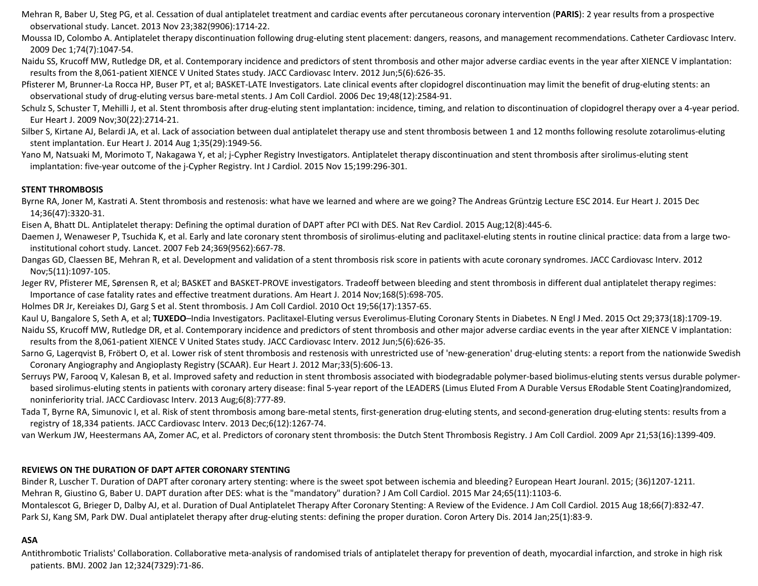- Mehran R, Baber U, Steg PG, et al. Cessation of dual antiplatelet treatment and cardiac events after percutaneous coronary intervention (**PARIS**): 2 year results from a prospective observational study. Lancet. 2013 Nov 23;382(9906):1714-22.
- Moussa ID, Colombo A. Antiplatelet therapy discontinuation following drug-eluting stent placement: dangers, reasons, and management recommendations. Catheter Cardiovasc Interv. 2009 Dec 1;74(7):1047-54.
- Naidu SS, Krucoff MW, Rutledge DR, et al. Contemporary incidence and predictors of stent thrombosis and other major adverse cardiac events in the year after XIENCE V implantation: results from the 8,061-patient XIENCE V United States study. JACC Cardiovasc Interv. 2012 Jun;5(6):626-35.
- Pfisterer M, Brunner-La Rocca HP, Buser PT, et al; BASKET-LATE Investigators. Late clinical events after clopidogrel discontinuation may limit the benefit of drug-eluting stents: an observational study of drug-eluting versus bare-metal stents. J Am Coll Cardiol. 2006 Dec 19;48(12):2584-91.
- Schulz S, Schuster T, Mehilli J, et al. Stent thrombosis after drug-eluting stent implantation: incidence, timing, and relation to discontinuation of clopidogrel therapy over a 4-year period. Eur Heart J. 2009 Nov;30(22):2714-21.
- Silber S, Kirtane AJ, Belardi JA, et al. Lack of association between dual antiplatelet therapy use and stent thrombosis between 1 and 12 months following resolute zotarolimus-eluting stent implantation. Eur Heart J. 2014 Aug 1;35(29):1949-56.
- Yano M, Natsuaki M, Morimoto T, Nakagawa Y, et al; j-Cypher Registry Investigators. Antiplatelet therapy discontinuation and stent thrombosis after sirolimus-eluting stent implantation: five-year outcome of the j-Cypher Registry. Int J Cardiol. 2015 Nov 15;199:296-301.

### **STENT THROMBOSIS**

- Byrne RA, Joner M, Kastrati A. Stent thrombosis and restenosis: what have we learned and where are we going? The Andreas Grüntzig Lecture ESC 2014. Eur Heart J. 2015 Dec 14;36(47):3320-31.
- Eisen A, Bhatt DL. Antiplatelet therapy: Defining the optimal duration of DAPT after PCI with DES. Nat Rev Cardiol. 2015 Aug;12(8):445-6.
- Daemen J, Wenaweser P, Tsuchida K, et al. Early and late coronary stent thrombosis of sirolimus-eluting and paclitaxel-eluting stents in routine clinical practice: data from a large twoinstitutional cohort study. Lancet. 2007 Feb 24;369(9562):667-78.
- Dangas GD, Claessen BE, Mehran R, et al. Development and validation of a stent thrombosis risk score in patients with acute coronary syndromes. JACC Cardiovasc Interv. 2012 Nov;5(11):1097-105.
- Jeger RV, Pfisterer ME, Sørensen R, et al; BASKET and BASKET-PROVE investigators. Tradeoff between bleeding and stent thrombosis in different dual antiplatelet therapy regimes: Importance of case fatality rates and effective treatment durations. Am Heart J. 2014 Nov;168(5):698-705.
- Holmes DR Jr, Kereiakes DJ, Garg S et al. Stent thrombosis. J Am Coll Cardiol. 2010 Oct 19;56(17):1357-65.
- Kaul U, Bangalore S, Seth A, et al; TUXEDO-India Investigators. Paclitaxel-Eluting versus Everolimus-Eluting Coronary Stents in Diabetes. N Engl J Med. 2015 Oct 29;373(18):1709-19.
- Naidu SS, Krucoff MW, Rutledge DR, et al. Contemporary incidence and predictors of stent thrombosis and other major adverse cardiac events in the year after XIENCE V implantation: results from the 8,061-patient XIENCE V United States study. JACC Cardiovasc Interv. 2012 Jun;5(6):626-35.
- Sarno G, Lagerqvist B, Fröbert O, et al. Lower risk of stent thrombosis and restenosis with unrestricted use of 'new-generation' drug-eluting stents: a report from the nationwide Swedish Coronary Angiography and Angioplasty Registry (SCAAR). Eur Heart J. 2012 Mar;33(5):606-13.
- Serruys PW, Farooq V, Kalesan B, et al. Improved safety and reduction in stent thrombosis associated with biodegradable polymer-based biolimus-eluting stents versus durable polymerbased sirolimus-eluting stents in patients with coronary artery disease: final 5-year report of the LEADERS (Limus Eluted From A Durable Versus ERodable Stent Coating)randomized, noninferiority trial. JACC Cardiovasc Interv. 2013 Aug;6(8):777-89.
- Tada T, Byrne RA, Simunovic I, et al. Risk of stent thrombosis among bare-metal stents, first-generation drug-eluting stents, and second-generation drug-eluting stents: results from a registry of 18,334 patients. JACC Cardiovasc Interv. 2013 Dec;6(12):1267-74.
- van Werkum JW, Heestermans AA, Zomer AC, et al. Predictors of coronary stent thrombosis: the Dutch Stent Thrombosis Registry. J Am Coll Cardiol. 2009 Apr 21;53(16):1399-409.

### **REVIEWS ON THE DURATION OF DAPT AFTER CORONARY STENTING**

Binder R, Luscher T. Duration of DAPT after coronary artery stenting: where is the sweet spot between ischemia and bleeding? European Heart Jouranl. 2015; (36)1207-1211. Mehran R, Giustino G, Baber U. DAPT duration after DES: what is the "mandatory" duration? J Am Coll Cardiol. 2015 Mar 24;65(11):1103-6.

Montalescot G, Brieger D, Dalby AJ, et al. Duration of Dual Antiplatelet Therapy After Coronary Stenting: A Review of the Evidence. J Am Coll Cardiol. 2015 Aug 18;66(7):832-47. Park SJ, Kang SM, Park DW. Dual antiplatelet therapy after drug-eluting stents: defining the proper duration. Coron Artery Dis. 2014 Jan;25(1):83-9.

### **ASA**

Antithrombotic Trialists' Collaboration. Collaborative meta-analysis of randomised trials of antiplatelet therapy for prevention of death, myocardial infarction, and stroke in high risk patients. BMJ. 2002 Jan 12;324(7329):71-86.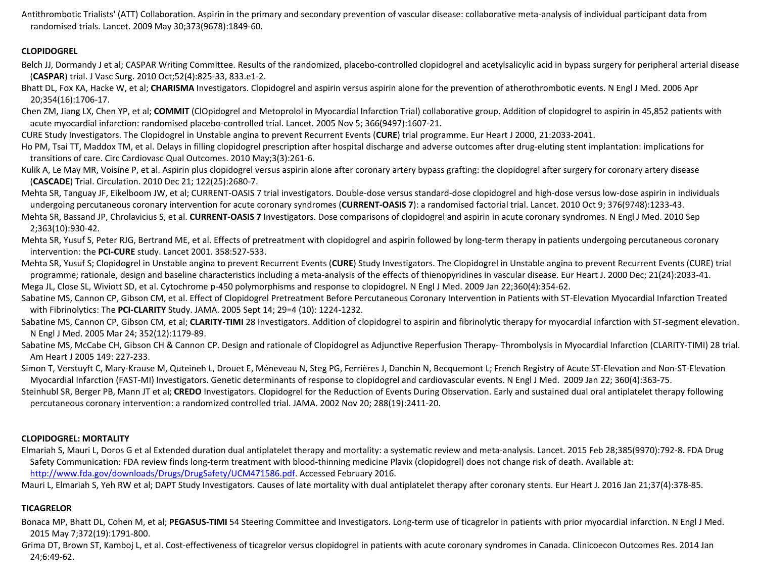Antithrombotic Trialists' (ATT) Collaboration. Aspirin in the primary and secondary prevention of vascular disease: collaborative meta-analysis of individual participant data from randomised trials. Lancet. 2009 May 30;373(9678):1849-60.

### **CLOPIDOGREL**

- Belch JJ, Dormandy J et al; CASPAR Writing Committee. Results of the randomized, placebo-controlled clopidogrel and acetylsalicylic acid in bypass surgery for peripheral arterial disease (**CASPAR**) trial. J Vasc Surg. 2010 Oct;52(4):825-33, 833.e1-2.
- Bhatt DL, Fox KA, Hacke W, et al; **CHARISMA** Investigators. Clopidogrel and aspirin versus aspirin alone for the prevention of atherothrombotic events. N Engl J Med. 2006 Apr 20;354(16):1706-17.
- Chen ZM, Jiang LX, Chen YP, et al; **COMMIT** (ClOpidogrel and Metoprolol in Myocardial Infarction Trial) collaborative group. Addition of clopidogrel to aspirin in 45,852 patients with acute myocardial infarction: randomised placebo-controlled trial. Lancet. 2005 Nov 5; 366(9497):1607-21.
- CURE Study Investigators. The Clopidogrel in Unstable angina to prevent Recurrent Events (**CURE**) trial programme. Eur Heart J 2000, 21:2033-2041.
- Ho PM, Tsai TT, Maddox TM, et al. Delays in filling clopidogrel prescription after hospital discharge and adverse outcomes after drug-eluting stent implantation: implications for transitions of care. Circ Cardiovasc Qual Outcomes. 2010 May;3(3):261-6.
- Kulik A, Le May MR, Voisine P, et al. Aspirin plus clopidogrel versus aspirin alone after coronary artery bypass grafting: the clopidogrel after surgery for coronary artery disease (**CASCADE**) Trial. Circulation. 2010 Dec 21; 122(25):2680-7.
- Mehta SR, Tanguay JF, Eikelboom JW, et al; CURRENT-OASIS 7 trial investigators. Double-dose versus standard-dose clopidogrel and high-dose versus low-dose aspirin in individuals undergoing percutaneous coronary intervention for acute coronary syndromes (**CURRENT-OASIS 7**): a randomised factorial trial. Lancet. 2010 Oct 9; 376(9748):1233-43.
- Mehta SR, Bassand JP, Chrolavicius S, et al. **CURRENT-OASIS 7** Investigators. Dose comparisons of clopidogrel and aspirin in acute coronary syndromes. N Engl J Med. 2010 Sep 2;363(10):930-42.
- Mehta SR, Yusuf S, Peter RJG, Bertrand ME, et al. Effects of pretreatment with clopidogrel and aspirin followed by long-term therapy in patients undergoing percutaneous coronary intervention: the **PCI-CURE** study. Lancet 2001. 358:527-533.
- Mehta SR, Yusuf S; Clopidogrel in Unstable angina to prevent Recurrent Events (**CURE**) Study Investigators. The Clopidogrel in Unstable angina to prevent Recurrent Events (CURE) trial programme; rationale, design and baseline characteristics including a meta-analysis of the effects of thienopyridines in vascular disease. Eur Heart J. 2000 Dec; 21(24):2033-41. Mega JL, Close SL, Wiviott SD, et al. Cytochrome p-450 polymorphisms and response to clopidogrel. N Engl J Med. 2009 Jan 22;360(4):354-62.
- Sabatine MS, Cannon CP, Gibson CM, et al. Effect of Clopidogrel Pretreatment Before Percutaneous Coronary Intervention in Patients with ST-Elevation Myocardial Infarction Treated with Fibrinolytics: The **PCI-CLARITY** Study. JAMA. 2005 Sept 14; 29=4 (10): 1224-1232.
- Sabatine MS, Cannon CP, Gibson CM, et al; CLARITY-TIMI 28 Investigators. Addition of clopidogrel to aspirin and fibrinolytic therapy for myocardial infarction with ST-segment elevation. N Engl J Med. 2005 Mar 24; 352(12):1179-89.
- Sabatine MS, McCabe CH, Gibson CH & Cannon CP. Design and rationale of Clopidogrel as Adjunctive Reperfusion Therapy- Thrombolysis in Myocardial Infarction (CLARITY-TIMI) 28 trial. Am Heart J 2005 149: 227-233.
- Simon T, Verstuyft C, Mary-Krause M, Quteineh L, Drouet E, Méneveau N, Steg PG, Ferrières J, Danchin N, Becquemont L; French Registry of Acute ST-Elevation and Non-ST-Elevation Myocardial Infarction (FAST-MI) Investigators. Genetic determinants of response to clopidogrel and cardiovascular events. N Engl J Med. 2009 Jan 22; 360(4):363-75.
- Steinhubl SR, Berger PB, Mann JT et al; **CREDO** Investigators. Clopidogrel for the Reduction of Events During Observation. Early and sustained dual oral antiplatelet therapy following percutaneous coronary intervention: a randomized controlled trial. JAMA. 2002 Nov 20; 288(19):2411-20.

## **CLOPIDOGREL: MORTALITY**

- Elmariah S, Mauri L, Doros G et al Extended duration dual antiplatelet therapy and mortality: a systematic review and meta-analysis. Lancet. 2015 Feb 28;385(9970):792-8. FDA Drug Safety Communication: FDA review finds long-term treatment with blood-thinning medicine Plavix (clopidogrel) does not change risk of death. Available at: http://www.fda.gov/downloads/Drugs/DrugSafety/UCM471586.pdf. Accessed February 2016.
- Mauri L, Elmariah S, Yeh RW et al; DAPT Study Investigators. Causes of late mortality with dual antiplatelet therapy after coronary stents. Eur Heart J. 2016 Jan 21;37(4):378-85.

## **TICAGRELOR**

- Bonaca MP, Bhatt DL, Cohen M, et al; PEGASUS-TIMI 54 Steering Committee and Investigators. Long-term use of ticagrelor in patients with prior myocardial infarction. N Engl J Med. 2015 May 7;372(19):1791-800.
- Grima DT, Brown ST, Kamboj L, et al. Cost-effectiveness of ticagrelor versus clopidogrel in patients with acute coronary syndromes in Canada. Clinicoecon Outcomes Res. 2014 Jan 24;6:49-62.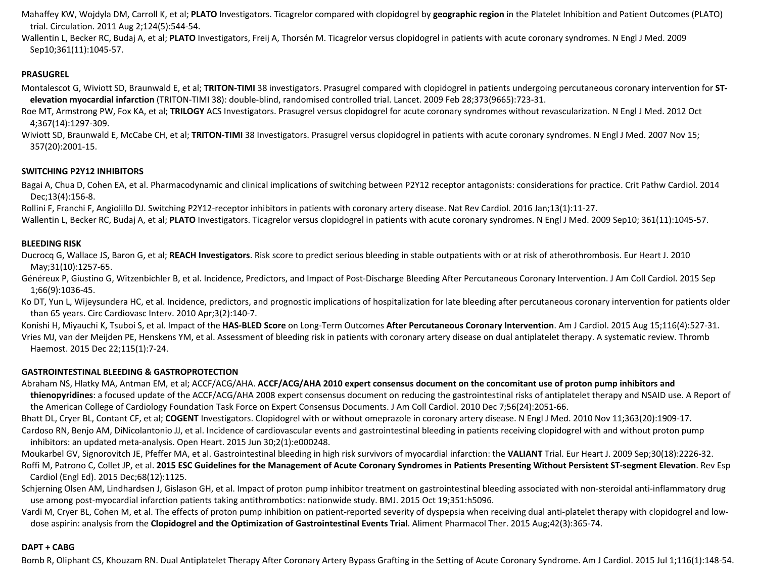Mahaffey KW, Wojdyla DM, Carroll K, et al; **PLATO** Investigators. Ticagrelor compared with clopidogrel by **geographic region** in the Platelet Inhibition and Patient Outcomes (PLATO) trial. Circulation. 2011 Aug 2;124(5):544-54.

Wallentin L, Becker RC, Budaj A, et al; **PLATO** Investigators, Freij A, Thorsén M. Ticagrelor versus clopidogrel in patients with acute coronary syndromes. N Engl J Med. 2009 Sep10;361(11):1045-57.

### **PRASUGREL**

Montalescot G, Wiviott SD, Braunwald E, et al; **TRITON-TIMI** 38 investigators. Prasugrel compared with clopidogrel in patients undergoing percutaneous coronary intervention for **STelevation myocardial infarction** (TRITON-TIMI 38): double-blind, randomised controlled trial. Lancet. 2009 Feb 28;373(9665):723-31.

Roe MT, Armstrong PW, Fox KA, et al; **TRILOGY** ACS Investigators. Prasugrel versus clopidogrel for acute coronary syndromes without revascularization. N Engl J Med. 2012 Oct 4;367(14):1297-309.

Wiviott SD, Braunwald E, McCabe CH, et al; TRITON-TIMI 38 Investigators. Prasugrel versus clopidogrel in patients with acute coronary syndromes. N Engl J Med. 2007 Nov 15; 357(20):2001-15.

### **SWITCHING P2Y12 INHIBITORS**

Bagai A, Chua D, Cohen EA, et al. Pharmacodynamic and clinical implications of switching between P2Y12 receptor antagonists: considerations for practice. Crit Pathw Cardiol. 2014 Dec;13(4):156-8.

Rollini F, Franchi F, Angiolillo DJ. Switching P2Y12-receptor inhibitors in patients with coronary artery disease. Nat Rev Cardiol. 2016 Jan;13(1):11-27.

Wallentin L, Becker RC, Budaj A, et al; PLATO Investigators. Ticagrelor versus clopidogrel in patients with acute coronary syndromes. N Engl J Med. 2009 Sep10; 361(11):1045-57.

### **BLEEDING RISK**

Ducrocq G, Wallace JS, Baron G, et al; **REACH Investigators**. Risk score to predict serious bleeding in stable outpatients with or at risk of atherothrombosis. Eur Heart J. 2010 May;31(10):1257-65.

Généreux P, Giustino G, Witzenbichler B, et al. Incidence, Predictors, and Impact of Post-Discharge Bleeding After Percutaneous Coronary Intervention. J Am Coll Cardiol. 2015 Sep 1;66(9):1036-45.

Ko DT, Yun L, Wijeysundera HC, et al. Incidence, predictors, and prognostic implications of hospitalization for late bleeding after percutaneous coronary intervention for patients older than 65 years. Circ Cardiovasc Interv. 2010 Apr;3(2):140-7.

Konishi H, Miyauchi K, Tsuboi S, et al. Impact of the **HAS-BLED Score** on Long-Term Outcomes **After Percutaneous Coronary Intervention**. Am J Cardiol. 2015 Aug 15;116(4):527-31. Vries MJ, van der Meijden PE, Henskens YM, et al. Assessment of bleeding risk in patients with coronary artery disease on dual antiplatelet therapy. A systematic review. Thromb Haemost. 2015 Dec 22;115(1):7-24.

### **GASTROINTESTINAL BLEEDING & GASTROPROTECTION**

Abraham NS, Hlatky MA, Antman EM, et al; ACCF/ACG/AHA. **ACCF/ACG/AHA 2010 expert consensus document on the concomitant use of proton pump inhibitors and thienopyridines**: a focused update of the ACCF/ACG/AHA 2008 expert consensus document on reducing the gastrointestinal risks of antiplatelet therapy and NSAID use. A Report of the American College of Cardiology Foundation Task Force on Expert Consensus Documents. J Am Coll Cardiol. 2010 Dec 7;56(24):2051-66.

Bhatt DL, Cryer BL, Contant CF, et al; **COGENT** Investigators. Clopidogrel with or without omeprazole in coronary artery disease. N Engl J Med. 2010 Nov 11;363(20):1909-17. Cardoso RN, Benjo AM, DiNicolantonio JJ, et al. Incidence of cardiovascular events and gastrointestinal bleeding in patients receiving clopidogrel with and without proton pump

inhibitors: an updated meta-analysis. Open Heart. 2015 Jun 30;2(1):e000248.

Moukarbel GV, Signorovitch JE, Pfeffer MA, et al. Gastrointestinal bleeding in high risk survivors of myocardial infarction: the **VALIANT** Trial. Eur Heart J. 2009 Sep;30(18):2226-32.

Roffi M, Patrono C, Collet JP, et al. **2015 ESC Guidelines for the Management of Acute Coronary Syndromes in Patients Presenting Without Persistent ST-segment Elevation**. Rev Esp Cardiol (Engl Ed). 2015 Dec;68(12):1125.

Schierning Olsen AM, Lindhardsen J, Gislason GH, et al. Impact of proton pump inhibitor treatment on gastrointestinal bleeding associated with non-steroidal anti-inflammatory drug use among post-myocardial infarction patients taking antithrombotics: nationwide study. BMJ. 2015 Oct 19;351:h5096.

Vardi M, Cryer BL, Cohen M, et al. The effects of proton pump inhibition on patient-reported severity of dyspepsia when receiving dual anti-platelet therapy with clopidogrel and lowdose aspirin: analysis from the **Clopidogrel and the Optimization of Gastrointestinal Events Trial**. Aliment Pharmacol Ther. 2015 Aug;42(3):365-74.

### **DAPT + CABG**

Bomb R, Oliphant CS, Khouzam RN. Dual Antiplatelet Therapy After Coronary Artery Bypass Grafting in the Setting of Acute Coronary Syndrome. Am J Cardiol. 2015 Jul 1;116(1):148-54.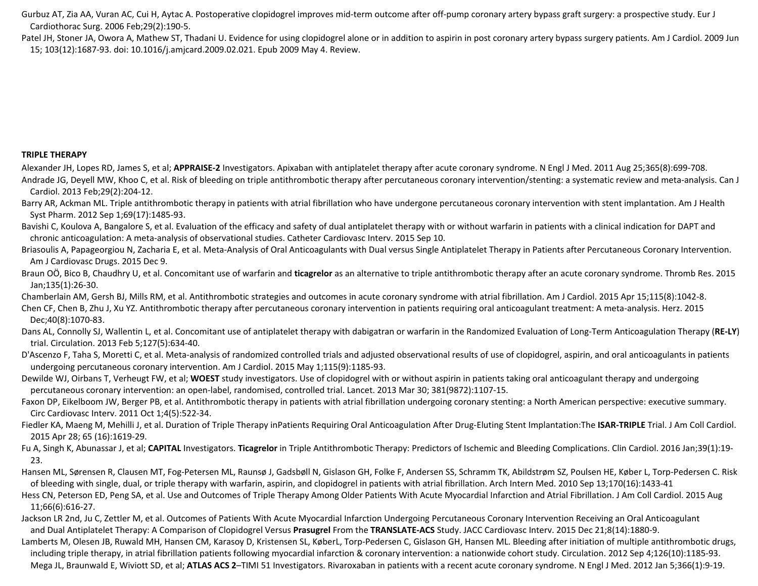Gurbuz AT, Zia AA, Vuran AC, Cui H, Aytac A. Postoperative clopidogrel improves mid-term outcome after off-pump coronary artery bypass graft surgery: a prospective study. Eur J Cardiothorac Surg. 2006 Feb;29(2):190-5.

Patel JH, Stoner JA, Owora A, Mathew ST, Thadani U. Evidence for using clopidogrel alone or in addition to aspirin in post coronary artery bypass surgery patients. Am J Cardiol. 2009 Jun 15; 103(12):1687-93. doi: 10.1016/j.amjcard.2009.02.021. Epub 2009 May 4. Review.

### **TRIPLE THERAPY**

Alexander JH, Lopes RD, James S, et al; **APPRAISE-2** Investigators. Apixaban with antiplatelet therapy after acute coronary syndrome. N Engl J Med. 2011 Aug 25;365(8):699-708. Andrade JG, Deyell MW, Khoo C, et al. Risk of bleeding on triple antithrombotic therapy after percutaneous coronary intervention/stenting: a systematic review and meta-analysis. Can J Cardiol. 2013 Feb;29(2):204-12.

Barry AR, Ackman ML. Triple antithrombotic therapy in patients with atrial fibrillation who have undergone percutaneous coronary intervention with stent implantation. Am J Health Syst Pharm. 2012 Sep 1;69(17):1485-93.

Bavishi C, Koulova A, Bangalore S, et al. Evaluation of the efficacy and safety of dual antiplatelet therapy with or without warfarin in patients with a clinical indication for DAPT and chronic anticoagulation: A meta-analysis of observational studies. Catheter Cardiovasc Interv. 2015 Sep 10.

Briasoulis A, Papageorgiou N, Zacharia E, et al. Meta-Analysis of Oral Anticoagulants with Dual versus Single Antiplatelet Therapy in Patients after Percutaneous Coronary Intervention. Am J Cardiovasc Drugs. 2015 Dec 9.

Braun OÖ, Bico B, Chaudhry U, et al. Concomitant use of warfarin and **ticagrelor** as an alternative to triple antithrombotic therapy after an acute coronary syndrome. Thromb Res. 2015 Jan;135(1):26-30.

Chamberlain AM, Gersh BJ, Mills RM, et al. Antithrombotic strategies and outcomes in acute coronary syndrome with atrial fibrillation. Am J Cardiol. 2015 Apr 15;115(8):1042-8.

Chen CF, Chen B, Zhu J, Xu YZ. Antithrombotic therapy after percutaneous coronary intervention in patients requiring oral anticoagulant treatment: A meta-analysis. Herz. 2015 Dec;40(8):1070-83.

Dans AL, Connolly SJ, Wallentin L, et al. Concomitant use of antiplatelet therapy with dabigatran or warfarin in the Randomized Evaluation of Long-Term Anticoagulation Therapy (**RE-LY**) trial. Circulation. 2013 Feb 5;127(5):634-40.

D'Ascenzo F, Taha S, Moretti C, et al. Meta-analysis of randomized controlled trials and adjusted observational results of use of clopidogrel, aspirin, and oral anticoagulants in patients undergoing percutaneous coronary intervention. Am J Cardiol. 2015 May 1;115(9):1185-93.

Dewilde WJ, Oirbans T, Verheugt FW, et al; **WOEST** study investigators. Use of clopidogrel with or without aspirin in patients taking oral anticoagulant therapy and undergoing percutaneous coronary intervention: an open-label, randomised, controlled trial. Lancet. 2013 Mar 30; 381(9872):1107-15.

Faxon DP, Eikelboom JW, Berger PB, et al. Antithrombotic therapy in patients with atrial fibrillation undergoing coronary stenting: a North American perspective: executive summary. Circ Cardiovasc Interv. 2011 Oct 1;4(5):522-34.

Fiedler KA, Maeng M, Mehilli J, et al. Duration of Triple Therapy inPatients Requiring Oral Anticoagulation After Drug-Eluting Stent Implantation:The **ISAR-TRIPLE** Trial. J Am Coll Cardiol. 2015 Apr 28; 65 (16):1619-29.

Fu A, Singh K, Abunassar J, et al; **CAPITAL** Investigators. **Ticagrelor** in Triple Antithrombotic Therapy: Predictors of Ischemic and Bleeding Complications. Clin Cardiol. 2016 Jan;39(1):19- 23.

Hansen ML, Sørensen R, Clausen MT, Fog-Petersen ML, Raunsø J, Gadsbøll N, Gislason GH, Folke F, Andersen SS, Schramm TK, Abildstrøm SZ, Poulsen HE, Køber L, Torp-Pedersen C. Risk of bleeding with single, dual, or triple therapy with warfarin, aspirin, and clopidogrel in patients with atrial fibrillation. Arch Intern Med. 2010 Sep 13;170(16):1433-41

Hess CN, Peterson ED, Peng SA, et al. Use and Outcomes of Triple Therapy Among Older Patients With Acute Myocardial Infarction and Atrial Fibrillation. J Am Coll Cardiol. 2015 Aug 11;66(6):616-27.

Jackson LR 2nd, Ju C, Zettler M, et al. Outcomes of Patients With Acute Myocardial Infarction Undergoing Percutaneous Coronary Intervention Receiving an Oral Anticoagulant and Dual Antiplatelet Therapy: A Comparison of Clopidogrel Versus **Prasugrel** From the **TRANSLATE-ACS** Study. JACC Cardiovasc Interv. 2015 Dec 21;8(14):1880-9.

Lamberts M, Olesen JB, Ruwald MH, Hansen CM, Karasoy D, Kristensen SL, KøberL, Torp-Pedersen C, Gislason GH, Hansen ML. Bleeding after initiation of multiple antithrombotic drugs, including triple therapy, in atrial fibrillation patients following myocardial infarction & coronary intervention: a nationwide cohort study. Circulation. 2012 Sep 4;126(10):1185-93. Mega JL, Braunwald E, Wiviott SD, et al; **ATLAS ACS 2**–TIMI 51 Investigators. Rivaroxaban in patients with a recent acute coronary syndrome. N Engl J Med. 2012 Jan 5;366(1):9-19.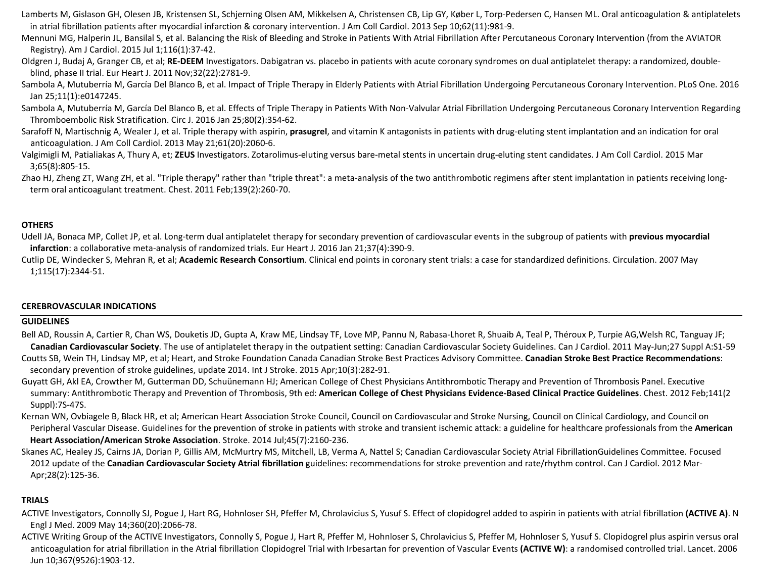- Lamberts M, Gislason GH, Olesen JB, Kristensen SL, Schjerning Olsen AM, Mikkelsen A, Christensen CB, Lip GY, Køber L, Torp-Pedersen C, Hansen ML. Oral anticoagulation & antiplatelets in atrial fibrillation patients after myocardial infarction & coronary intervention. J Am Coll Cardiol. 2013 Sep 10;62(11):981-9.
- Mennuni MG, Halperin JL, Bansilal S, et al. Balancing the Risk of Bleeding and Stroke in Patients With Atrial Fibrillation After Percutaneous Coronary Intervention (from the AVIATOR Registry). Am J Cardiol. 2015 Jul 1;116(1):37-42.
- Oldgren J, Budaj A, Granger CB, et al; RE-DEEM Investigators. Dabigatran vs. placebo in patients with acute coronary syndromes on dual antiplatelet therapy: a randomized, doubleblind, phase II trial. Eur Heart J. 2011 Nov;32(22):2781-9.
- Sambola A, Mutuberría M, García Del Blanco B, et al. Impact of Triple Therapy in Elderly Patients with Atrial Fibrillation Undergoing Percutaneous Coronary Intervention. PLoS One. 2016 Jan 25;11(1):e0147245.
- Sambola A, Mutuberría M, García Del Blanco B, et al. Effects of Triple Therapy in Patients With Non-Valvular Atrial Fibrillation Undergoing Percutaneous Coronary Intervention Regarding Thromboembolic Risk Stratification. Circ J. 2016 Jan 25;80(2):354-62.
- Sarafoff N, Martischnig A, Wealer J, et al. Triple therapy with aspirin, **prasugrel**, and vitamin K antagonists in patients with drug-eluting stent implantation and an indication for oral anticoagulation. J Am Coll Cardiol. 2013 May 21;61(20):2060-6.
- Valgimigli M, Patialiakas A, Thury A, et; **ZEUS** Investigators. Zotarolimus-eluting versus bare-metal stents in uncertain drug-eluting stent candidates. J Am Coll Cardiol. 2015 Mar 3;65(8):805-15.
- Zhao HJ, Zheng ZT, Wang ZH, et al. "Triple therapy" rather than "triple threat": a meta-analysis of the two antithrombotic regimens after stent implantation in patients receiving longterm oral anticoagulant treatment. Chest. 2011 Feb;139(2):260-70.

### **OTHERS**

- Udell JA, Bonaca MP, Collet JP, et al. Long-term dual antiplatelet therapy for secondary prevention of cardiovascular events in the subgroup of patients with **previous myocardial infarction**: a collaborative meta-analysis of randomized trials. Eur Heart J. 2016 Jan 21;37(4):390-9.
- Cutlip DE, Windecker S, Mehran R, et al; **Academic Research Consortium**. Clinical end points in coronary stent trials: a case for standardized definitions. Circulation. 2007 May 1;115(17):2344-51.

### **CEREBROVASCULAR INDICATIONS**

### **GUIDELINES**

- Bell AD, Roussin A, Cartier R, Chan WS, Douketis JD, Gupta A, Kraw ME, Lindsay TF, Love MP, Pannu N, Rabasa-Lhoret R, Shuaib A, Teal P, Théroux P, Turpie AG,Welsh RC, Tanguay JF; **Canadian Cardiovascular Society**. The use of antiplatelet therapy in the outpatient setting: Canadian Cardiovascular Society Guidelines. Can J Cardiol. 2011 May-Jun;27 Suppl A:S1-59 Coutts SB, Wein TH, Lindsay MP, et al; Heart, and Stroke Foundation Canada Canadian Stroke Best Practices Advisory Committee. **Canadian Stroke Best Practice Recommendations**: secondary prevention of stroke guidelines, update 2014. Int J Stroke. 2015 Apr;10(3):282-91.
- Guyatt GH, Akl EA, Crowther M, Gutterman DD, Schuünemann HJ; American College of Chest Physicians Antithrombotic Therapy and Prevention of Thrombosis Panel. Executive summary: Antithrombotic Therapy and Prevention of Thrombosis, 9th ed: **American College of Chest Physicians Evidence-Based Clinical Practice Guidelines**. Chest. 2012 Feb;141(2 Suppl):7S-47S.
- Kernan WN, Ovbiagele B, Black HR, et al; American Heart Association Stroke Council, Council on Cardiovascular and Stroke Nursing, Council on Clinical Cardiology, and Council on Peripheral Vascular Disease. Guidelines for the prevention of stroke in patients with stroke and transient ischemic attack: a guideline for healthcare professionals from the **American Heart Association/American Stroke Association**. Stroke. 2014 Jul;45(7):2160-236.
- Skanes AC, Healey JS, Cairns JA, Dorian P, Gillis AM, McMurtry MS, Mitchell, LB, Verma A, Nattel S; Canadian Cardiovascular Society Atrial FibrillationGuidelines Committee. Focused 2012 update of the **Canadian Cardiovascular Society Atrial fibrillation** guidelines: recommendations for stroke prevention and rate/rhythm control. Can J Cardiol. 2012 Mar-Apr;28(2):125-36.

### **TRIALS**

- ACTIVE Investigators, Connolly SJ, Pogue J, Hart RG, Hohnloser SH, Pfeffer M, Chrolavicius S, Yusuf S. Effect of clopidogrel added to aspirin in patients with atrial fibrillation **(ACTIVE A)**. N Engl J Med. 2009 May 14;360(20):2066-78.
- ACTIVE Writing Group of the ACTIVE Investigators, Connolly S, Pogue J, Hart R, Pfeffer M, Hohnloser S, Chrolavicius S, Pfeffer M, Hohnloser S, Yusuf S. Clopidogrel plus aspirin versus oral anticoagulation for atrial fibrillation in the Atrial fibrillation Clopidogrel Trial with Irbesartan for prevention of Vascular Events **(ACTIVE W)**: a randomised controlled trial. Lancet. 2006 Jun 10;367(9526):1903-12.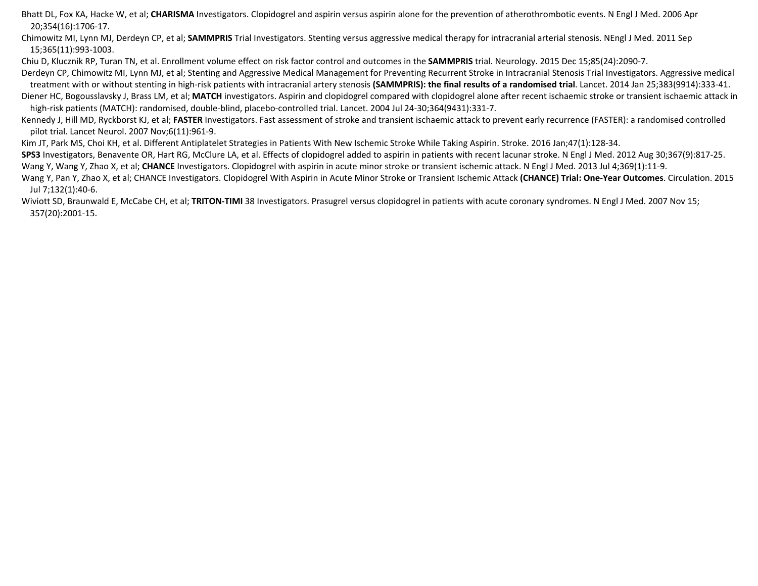Bhatt DL, Fox KA, Hacke W, et al; **CHARISMA** Investigators. Clopidogrel and aspirin versus aspirin alone for the prevention of atherothrombotic events. N Engl J Med. 2006 Apr 20;354(16):1706-17.

Chimowitz MI, Lynn MJ, Derdeyn CP, et al; **SAMMPRIS** Trial Investigators. Stenting versus aggressive medical therapy for intracranial arterial stenosis. NEngl J Med. 2011 Sep 15;365(11):993-1003.

Chiu D, Klucznik RP, Turan TN, et al. Enrollment volume effect on risk factor control and outcomes in the **SAMMPRIS** trial. Neurology. 2015 Dec 15;85(24):2090-7.

Derdeyn CP, Chimowitz MI, Lynn MJ, et al; Stenting and Aggressive Medical Management for Preventing Recurrent Stroke in Intracranial Stenosis Trial Investigators. Aggressive medical treatment with or without stenting in high-risk patients with intracranial artery stenosis **(SAMMPRIS): the final results of a randomised trial**. Lancet. 2014 Jan 25;383(9914):333-41.

Diener HC, Bogousslavsky J, Brass LM, et al; MATCH investigators. Aspirin and clopidogrel compared with clopidogrel alone after recent ischaemic stroke or transient ischaemic attack in high-risk patients (MATCH): randomised, double-blind, placebo-controlled trial. Lancet. 2004 Jul 24-30;364(9431):331-7.

Kennedy J, Hill MD, Ryckborst KJ, et al; FASTER Investigators. Fast assessment of stroke and transient ischaemic attack to prevent early recurrence (FASTER): a randomised controlled pilot trial. Lancet Neurol. 2007 Nov;6(11):961-9.

Kim JT, Park MS, Choi KH, et al. Different Antiplatelet Strategies in Patients With New Ischemic Stroke While Taking Aspirin. Stroke. 2016 Jan;47(1):128-34.

**SPS3** Investigators, Benavente OR, Hart RG, McClure LA, et al. Effects of clopidogrel added to aspirin in patients with recent lacunar stroke. N Engl J Med. 2012 Aug 30;367(9):817-25. Wang Y, Wang Y, Zhao X, et al; CHANCE Investigators. Clopidogrel with aspirin in acute minor stroke or transient ischemic attack. N Engl J Med. 2013 Jul 4;369(1):11-9.

Wang Y, Pan Y, Zhao X, et al; CHANCE Investigators. Clopidogrel With Aspirin in Acute Minor Stroke or Transient Ischemic Attack **(CHANCE) Trial: One-Year Outcomes**. Circulation. 2015 Jul 7;132(1):40-6.

Wiviott SD, Braunwald E, McCabe CH, et al; TRITON-TIMI 38 Investigators. Prasugrel versus clopidogrel in patients with acute coronary syndromes. N Engl J Med. 2007 Nov 15; 357(20):2001-15.